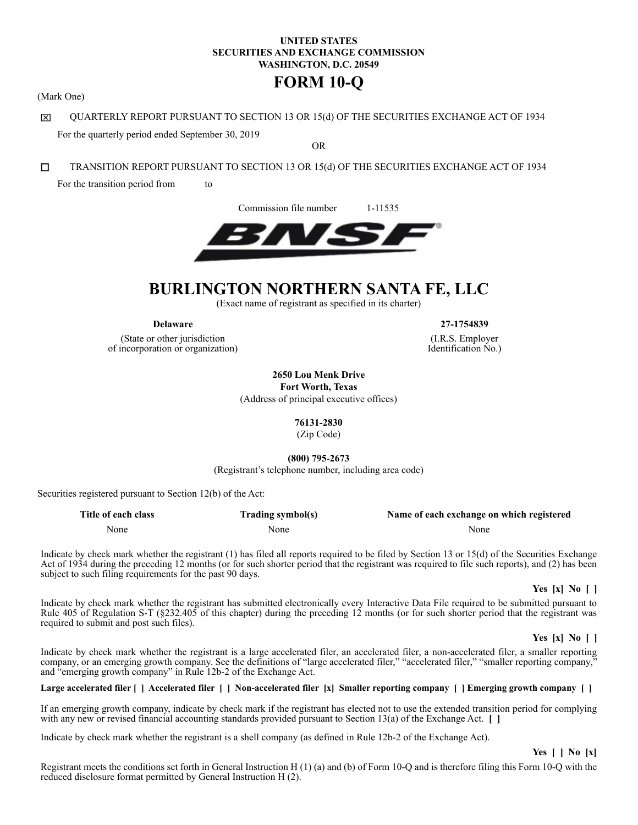## **UNITED STATES SECURITIES AND EXCHANGE COMMISSION WASHINGTON, D.C. 20549**

## **FORM 10-Q**

(Mark One)

#### QUARTERLY REPORT PURSUANT TO SECTION 13 OR 15(d) OF THE SECURITIES EXCHANGE ACT OF 1934 区 For the quarterly period ended September 30, 2019

OR

TRANSITION REPORT PURSUANT TO SECTION 13 OR 15(d) OF THE SECURITIES EXCHANGE ACT OF 1934 □ For the transition period from to

Commission file number 1-11535



# **BURLINGTON NORTHERN SANTA FE, LLC**

(Exact name of registrant as specified in its charter)

| Delawar |  |  |
|---------|--|--|

(State or other jurisdiction of incorporation or organization)

**Delaware 27-1754839** (I.R.S. Employer Identification No.)

**2650 Lou Menk Drive Fort Worth, Texas**

(Address of principal executive offices)

**76131-2830**

(Zip Code)

**(800) 795-2673**

(Registrant's telephone number, including area code)

Securities registered pursuant to Section 12(b) of the Act:

| Title of each class | Trading symbol(s) | Name of each exchange on which registered |
|---------------------|-------------------|-------------------------------------------|
| None                | None              | None                                      |

Indicate by check mark whether the registrant (1) has filed all reports required to be filed by Section 13 or 15(d) of the Securities Exchange Act of 1934 during the preceding 12 months (or for such shorter period that the registrant was required to file such reports), and (2) has been subject to such filing requirements for the past 90 days.

**Yes [x] No [ ]**

Indicate by check mark whether the registrant has submitted electronically every Interactive Data File required to be submitted pursuant to Rule 405 of Regulation S-T (§232.405 of this chapter) during the preceding 12 months (or for such shorter period that the registrant was required to submit and post such files).

**Yes [x] No [ ]**

Indicate by check mark whether the registrant is a large accelerated filer, an accelerated filer, a non-accelerated filer, a smaller reporting company, or an emerging growth company. See the definitions of "large accelerated filer," "accelerated filer," "smaller reporting company, and "emerging growth company" in Rule 12b-2 of the Exchange Act.

#### **Large accelerated filer [ ] Accelerated filer [ ] Non-accelerated filer [x] Smaller reporting company [ ] Emerging growth company [ ]**

If an emerging growth company, indicate by check mark if the registrant has elected not to use the extended transition period for complying with any new or revised financial accounting standards provided pursuant to Section 13(a) of the Exchange Act. [ ]

Indicate by check mark whether the registrant is a shell company (as defined in Rule 12b-2 of the Exchange Act).

**Yes [ ] No [x]**

Registrant meets the conditions set forth in General Instruction H (1) (a) and (b) of Form 10-Q and is therefore filing this Form 10-Q with the reduced disclosure format permitted by General Instruction H (2).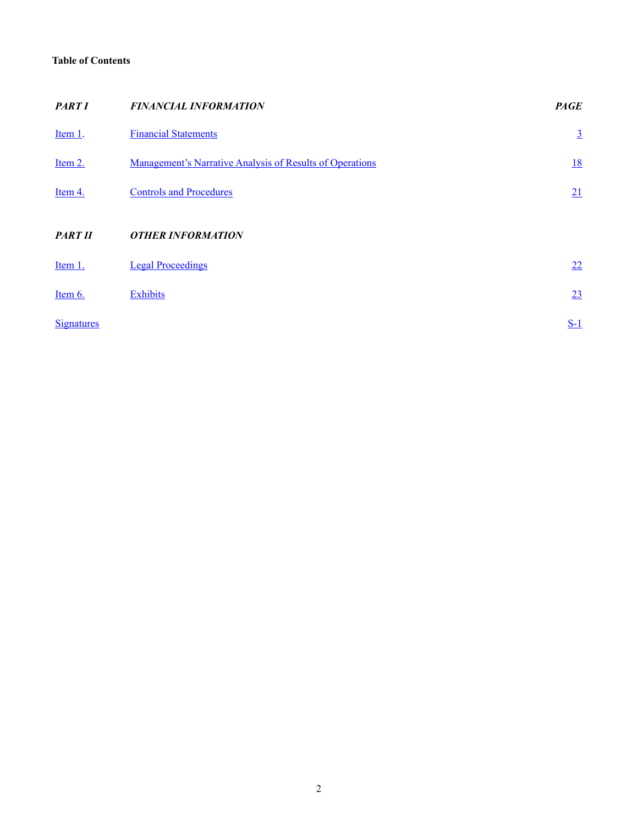#### <span id="page-1-0"></span>**Table of Contents**

| <b>PART I</b>     | <b>FINANCIAL INFORMATION</b>                             | <b>PAGE</b>    |
|-------------------|----------------------------------------------------------|----------------|
| Item 1.           | <b>Financial Statements</b>                              | $\overline{3}$ |
| Item 2.           | Management's Narrative Analysis of Results of Operations | <u>18</u>      |
| Item 4.           | <b>Controls and Procedures</b>                           | 21             |
| <b>PART II</b>    | <b>OTHER INFORMATION</b>                                 |                |
| Item 1.           | <b>Legal Proceedings</b>                                 | 22             |
| Item 6.           | <b>Exhibits</b>                                          | 23             |
| <b>Signatures</b> |                                                          | $S-1$          |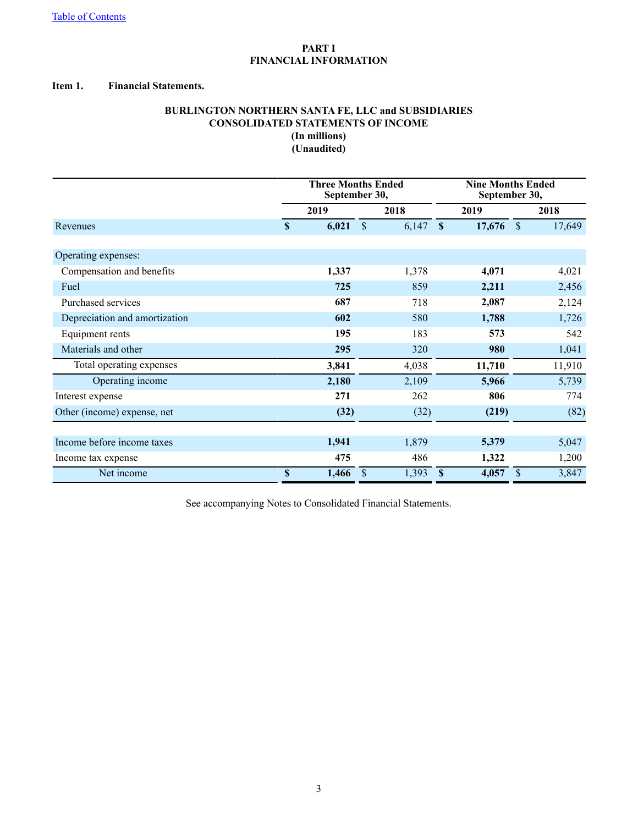#### **PART I FINANCIAL INFORMATION**

#### <span id="page-2-0"></span>**Item 1. Financial Statements.**

#### **BURLINGTON NORTHERN SANTA FE, LLC and SUBSIDIARIES CONSOLIDATED STATEMENTS OF INCOME (In millions) (Unaudited)**

|                               |             | <b>Three Months Ended</b><br>September 30, |               |       |               | <b>Nine Months Ended</b><br>September 30, |              |        |  |
|-------------------------------|-------------|--------------------------------------------|---------------|-------|---------------|-------------------------------------------|--------------|--------|--|
|                               |             | 2019                                       |               | 2018  |               | 2019                                      |              | 2018   |  |
| Revenues                      | $\mathbf S$ | 6,021                                      | $\mathcal{S}$ | 6,147 | <sup>S</sup>  | 17,676                                    | <sup>S</sup> | 17,649 |  |
|                               |             |                                            |               |       |               |                                           |              |        |  |
| Operating expenses:           |             |                                            |               |       |               |                                           |              |        |  |
| Compensation and benefits     |             | 1,337                                      |               | 1,378 |               | 4,071                                     |              | 4,021  |  |
| Fuel                          |             | 725                                        |               | 859   |               | 2,211                                     |              | 2,456  |  |
| Purchased services            |             | 687                                        |               | 718   |               | 2,087                                     |              | 2,124  |  |
| Depreciation and amortization |             | 602                                        |               | 580   |               | 1,788                                     |              | 1,726  |  |
| Equipment rents               |             | 195                                        |               | 183   |               | 573                                       |              | 542    |  |
| Materials and other           |             | 295                                        |               | 320   |               | 980                                       |              | 1,041  |  |
| Total operating expenses      |             | 3,841                                      |               | 4,038 |               | 11,710                                    |              | 11,910 |  |
| Operating income              |             | 2,180                                      |               | 2,109 |               | 5,966                                     |              | 5,739  |  |
| Interest expense              |             | 271                                        |               | 262   |               | 806                                       |              | 774    |  |
| Other (income) expense, net   |             | (32)                                       |               | (32)  |               | (219)                                     |              | (82)   |  |
|                               |             |                                            |               |       |               |                                           |              |        |  |
| Income before income taxes    |             | 1,941                                      |               | 1,879 |               | 5,379                                     |              | 5,047  |  |
| Income tax expense            |             | 475                                        |               | 486   |               | 1,322                                     |              | 1,200  |  |
| Net income                    | \$          | 1,466                                      | \$            | 1,393 | <sup>\$</sup> | 4,057                                     | $\mathbb{S}$ | 3,847  |  |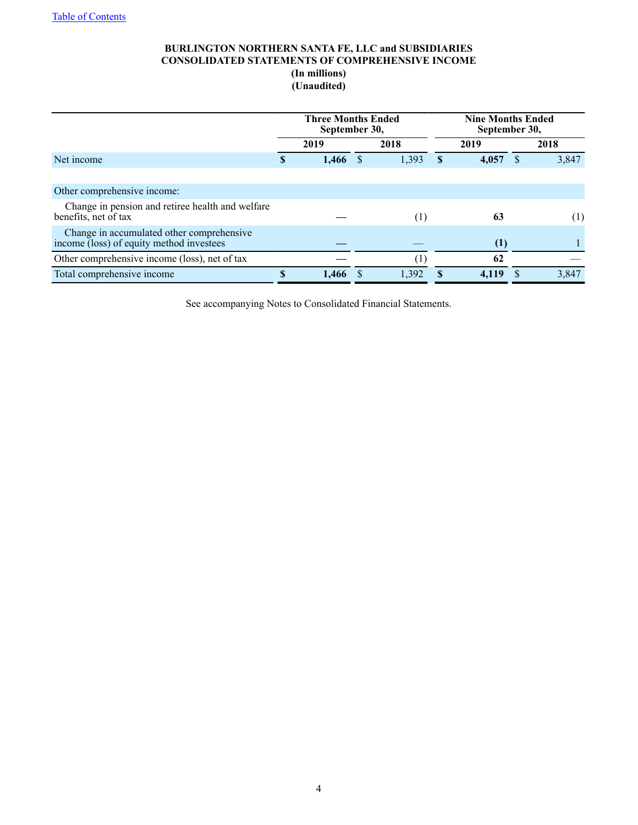#### **BURLINGTON NORTHERN SANTA FE, LLC and SUBSIDIARIES CONSOLIDATED STATEMENTS OF COMPREHENSIVE INCOME (In millions) (Unaudited)**

|                                                                                       | <b>Three Months Ended</b><br>September 30, |       |  |         |          | <b>Nine Months Ended</b><br>September 30, |   |       |  |
|---------------------------------------------------------------------------------------|--------------------------------------------|-------|--|---------|----------|-------------------------------------------|---|-------|--|
|                                                                                       |                                            | 2019  |  | 2018    |          | 2019                                      |   | 2018  |  |
| Net income                                                                            | S                                          | 1,466 |  | 1,393   | <b>S</b> | 4,057                                     | S | 3,847 |  |
|                                                                                       |                                            |       |  |         |          |                                           |   |       |  |
| Other comprehensive income:                                                           |                                            |       |  |         |          |                                           |   |       |  |
| Change in pension and retiree health and welfare<br>benefits, net of tax              |                                            |       |  | (1)     |          | 63                                        |   | (1)   |  |
| Change in accumulated other comprehensive<br>income (loss) of equity method investees |                                            |       |  |         |          | $\left(1\right)$                          |   |       |  |
| Other comprehensive income (loss), net of tax                                         |                                            |       |  | $\perp$ |          | 62                                        |   |       |  |
| Total comprehensive income                                                            | S                                          | 1.466 |  | 1,392   |          | 4.119                                     |   | 3,847 |  |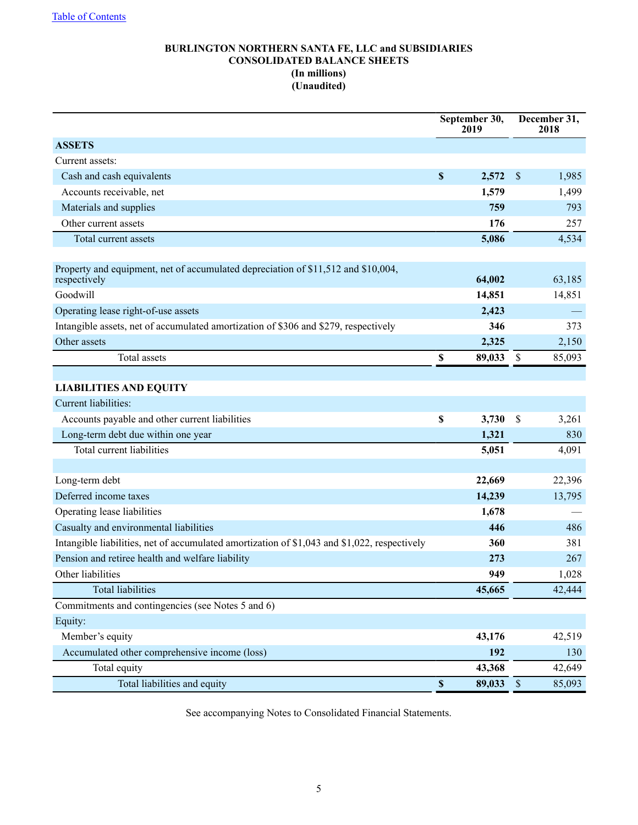#### **BURLINGTON NORTHERN SANTA FE, LLC and SUBSIDIARIES CONSOLIDATED BALANCE SHEETS (In millions) (Unaudited)**

|                                                                                                   |             | September 30,<br>2019 |              | December 31,<br>2018 |
|---------------------------------------------------------------------------------------------------|-------------|-----------------------|--------------|----------------------|
| <b>ASSETS</b>                                                                                     |             |                       |              |                      |
| Current assets:                                                                                   |             |                       |              |                      |
| Cash and cash equivalents                                                                         | $\mathbb S$ | 2,572                 | \$           | 1,985                |
| Accounts receivable, net                                                                          |             | 1,579                 |              | 1,499                |
| Materials and supplies                                                                            |             | 759                   |              | 793                  |
| Other current assets                                                                              |             | 176                   |              | 257                  |
| Total current assets                                                                              |             | 5,086                 |              | 4,534                |
| Property and equipment, net of accumulated depreciation of \$11,512 and \$10,004,<br>respectively |             | 64,002                |              | 63,185               |
| Goodwill                                                                                          |             | 14,851                |              | 14,851               |
| Operating lease right-of-use assets                                                               |             | 2,423                 |              |                      |
| Intangible assets, net of accumulated amortization of \$306 and \$279, respectively               |             | 346                   |              | 373                  |
| Other assets                                                                                      |             | 2,325                 |              | 2,150                |
| Total assets                                                                                      | \$          | 89,033                | $\mathbb{S}$ | 85,093               |
|                                                                                                   |             |                       |              |                      |
| <b>LIABILITIES AND EQUITY</b>                                                                     |             |                       |              |                      |
| Current liabilities:                                                                              |             |                       |              |                      |
| Accounts payable and other current liabilities                                                    | \$          | 3,730                 | \$           | 3,261                |
| Long-term debt due within one year                                                                |             | 1,321                 |              | 830                  |
| Total current liabilities                                                                         |             | 5,051                 |              | 4,091                |
|                                                                                                   |             |                       |              |                      |
| Long-term debt                                                                                    |             | 22,669                |              | 22,396               |
| Deferred income taxes                                                                             |             | 14,239                |              | 13,795               |
| Operating lease liabilities                                                                       |             | 1,678                 |              |                      |
| Casualty and environmental liabilities                                                            |             | 446                   |              | 486                  |
| Intangible liabilities, net of accumulated amortization of \$1,043 and \$1,022, respectively      |             | 360                   |              | 381                  |
| Pension and retiree health and welfare liability                                                  |             | 273                   |              | 267                  |
| Other liabilities                                                                                 |             | 949                   |              | 1,028                |
| <b>Total liabilities</b>                                                                          |             | 45,665                |              | 42,444               |
| Commitments and contingencies (see Notes 5 and 6)                                                 |             |                       |              |                      |
| Equity:                                                                                           |             |                       |              |                      |
| Member's equity                                                                                   |             | 43,176                |              | 42,519               |
| Accumulated other comprehensive income (loss)                                                     |             | 192                   |              | 130                  |
| Total equity                                                                                      |             | 43,368                |              | 42,649               |
| Total liabilities and equity                                                                      | $\mathbb S$ | 89,033                | $\mathbb S$  | 85,093               |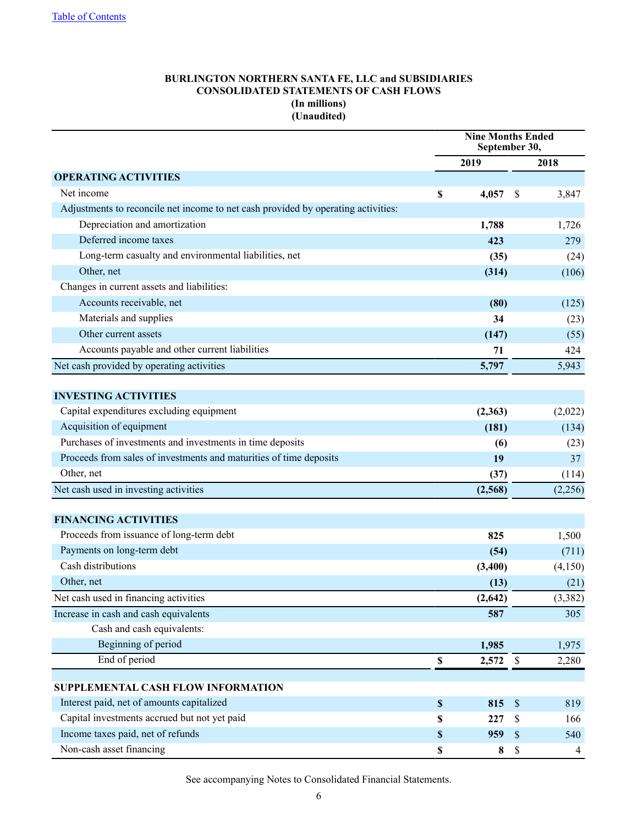#### **BURLINGTON NORTHERN SANTA FE, LLC and SUBSIDIARIES CONSOLIDATED STATEMENTS OF CASH FLOWS (In millions) (Unaudited)**

|                                                                                   | <b>Nine Months Ended</b><br>September 30, |          |                           |          |
|-----------------------------------------------------------------------------------|-------------------------------------------|----------|---------------------------|----------|
|                                                                                   |                                           | 2019     |                           | 2018     |
| <b>OPERATING ACTIVITIES</b>                                                       |                                           |          |                           |          |
| Net income                                                                        | S                                         | 4,057    | S                         | 3,847    |
| Adjustments to reconcile net income to net cash provided by operating activities: |                                           |          |                           |          |
| Depreciation and amortization                                                     |                                           | 1,788    |                           | 1,726    |
| Deferred income taxes                                                             |                                           | 423      |                           | 279      |
| Long-term casualty and environmental liabilities, net                             |                                           | (35)     |                           | (24)     |
| Other, net                                                                        |                                           | (314)    |                           | (106)    |
| Changes in current assets and liabilities:                                        |                                           |          |                           |          |
| Accounts receivable, net                                                          |                                           | (80)     |                           | (125)    |
| Materials and supplies                                                            |                                           | 34       |                           | (23)     |
| Other current assets                                                              |                                           | (147)    |                           | (55)     |
| Accounts payable and other current liabilities                                    |                                           | 71       |                           | 424      |
| Net cash provided by operating activities                                         |                                           | 5,797    |                           | 5,943    |
|                                                                                   |                                           |          |                           |          |
| <b>INVESTING ACTIVITIES</b>                                                       |                                           |          |                           |          |
| Capital expenditures excluding equipment                                          |                                           | (2,363)  |                           | (2,022)  |
| Acquisition of equipment                                                          |                                           | (181)    |                           | (134)    |
| Purchases of investments and investments in time deposits                         |                                           | (6)      |                           | (23)     |
| Proceeds from sales of investments and maturities of time deposits                |                                           | 19       |                           | 37       |
| Other, net                                                                        |                                           | (37)     |                           | (114)    |
| Net cash used in investing activities                                             |                                           | (2,568)  |                           | (2,256)  |
|                                                                                   |                                           |          |                           |          |
| <b>FINANCING ACTIVITIES</b>                                                       |                                           |          |                           |          |
| Proceeds from issuance of long-term debt                                          |                                           | 825      |                           | 1,500    |
| Payments on long-term debt                                                        |                                           | (54)     |                           | (711)    |
| Cash distributions                                                                |                                           | (3,400)  |                           | (4,150)  |
| Other, net                                                                        |                                           | (13)     |                           | (21)     |
| Net cash used in financing activities                                             |                                           | (2, 642) |                           | (3, 382) |
| Increase in cash and cash equivalents                                             |                                           | 587      |                           | 305      |
| Cash and cash equivalents:                                                        |                                           |          |                           |          |
| Beginning of period                                                               |                                           | 1,985    |                           | 1,975    |
| End of period                                                                     | \$                                        | 2,572    | $\mathbb S$               | 2,280    |
| SUPPLEMENTAL CASH FLOW INFORMATION                                                |                                           |          |                           |          |
| Interest paid, net of amounts capitalized                                         | $\boldsymbol{\$}$                         | 815      | $\boldsymbol{\mathsf{S}}$ | 819      |
| Capital investments accrued but not yet paid                                      | \$                                        | 227      | \$                        | 166      |
| Income taxes paid, net of refunds                                                 | $\mathbb S$                               | 959      | \$                        | 540      |
| Non-cash asset financing                                                          | \$                                        | 8        | \$                        | 4        |
|                                                                                   |                                           |          |                           |          |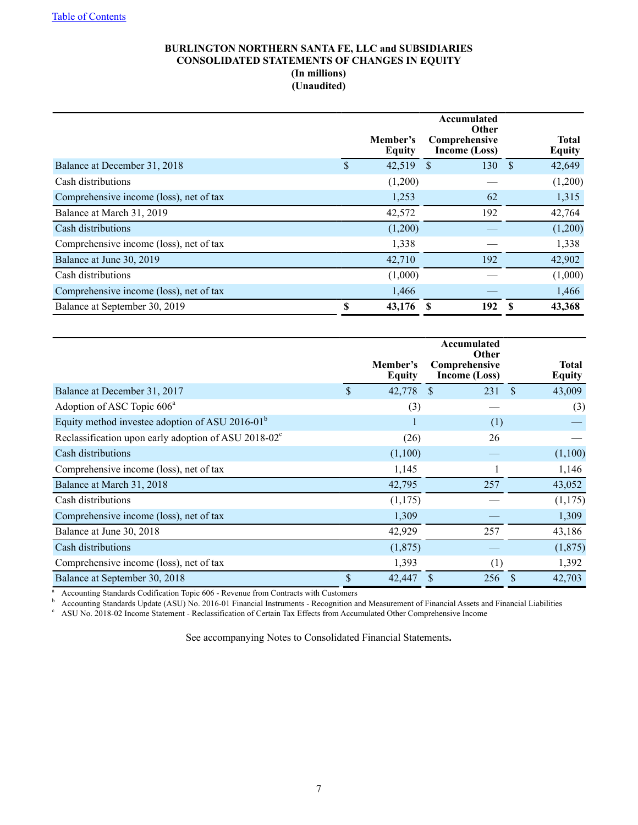#### **BURLINGTON NORTHERN SANTA FE, LLC and SUBSIDIARIES CONSOLIDATED STATEMENTS OF CHANGES IN EQUITY (In millions) (Unaudited)**

|                                         | Member's<br><b>Equity</b> | Other<br>Comprehensive<br>Income (Loss) |    | <b>Total</b><br><b>Equity</b> |
|-----------------------------------------|---------------------------|-----------------------------------------|----|-------------------------------|
| Balance at December 31, 2018            | 42,519 \$                 | 130                                     | -S | 42,649                        |
| Cash distributions                      | (1,200)                   |                                         |    | (1,200)                       |
| Comprehensive income (loss), net of tax | 1,253                     | 62                                      |    | 1,315                         |
| Balance at March 31, 2019               | 42,572                    | 192                                     |    | 42,764                        |
| Cash distributions                      | (1,200)                   |                                         |    | (1,200)                       |
| Comprehensive income (loss), net of tax | 1,338                     |                                         |    | 1,338                         |
| Balance at June 30, 2019                | 42,710                    | 192                                     |    | 42,902                        |
| Cash distributions                      | (1,000)                   |                                         |    | (1,000)                       |
| Comprehensive income (loss), net of tax | 1,466                     |                                         |    | 1,466                         |
| Balance at September 30, 2019           | \$<br>43,176              | 192                                     |    | 43,368                        |

|                                                                  |                           | Accumulated<br><b>Other</b>    |                               |
|------------------------------------------------------------------|---------------------------|--------------------------------|-------------------------------|
|                                                                  | Member's<br><b>Equity</b> | Comprehensive<br>Income (Loss) | <b>Total</b><br><b>Equity</b> |
| Balance at December 31, 2017                                     | \$<br>42,778              | 231<br>- \$                    | $\mathcal{S}$<br>43,009       |
| Adoption of ASC Topic 606 <sup>a</sup>                           | (3)                       |                                | (3)                           |
| Equity method investee adoption of ASU 2016-01 $^{\circ}$        |                           | (1)                            |                               |
| Reclassification upon early adoption of ASU 2018-02 <sup>c</sup> | (26)                      | 26                             |                               |
| Cash distributions                                               | (1,100)                   |                                | (1,100)                       |
| Comprehensive income (loss), net of tax                          | 1,145                     |                                | 1,146                         |
| Balance at March 31, 2018                                        | 42,795                    | 257                            | 43,052                        |
| Cash distributions                                               | (1,175)                   |                                | (1,175)                       |
| Comprehensive income (loss), net of tax                          | 1,309                     |                                | 1,309                         |
| Balance at June 30, 2018                                         | 42,929                    | 257                            | 43,186                        |
| Cash distributions                                               | (1,875)                   |                                | (1,875)                       |
| Comprehensive income (loss), net of tax                          | 1,393                     | (1)                            | 1,392                         |
| Balance at September 30, 2018                                    | \$<br>42,447              | 256                            | 42,703<br><sup>\$</sup>       |

a Accounting Standards Codification Topic 606 - Revenue from Contracts with Customers

b Accounting Standards Update (ASU) No. 2016-01 Financial Instruments - Recognition and Measurement of Financial Assets and Financial Liabilities

c ASU No. 2018-02 Income Statement - Reclassification of Certain Tax Effects from Accumulated Other Comprehensive Income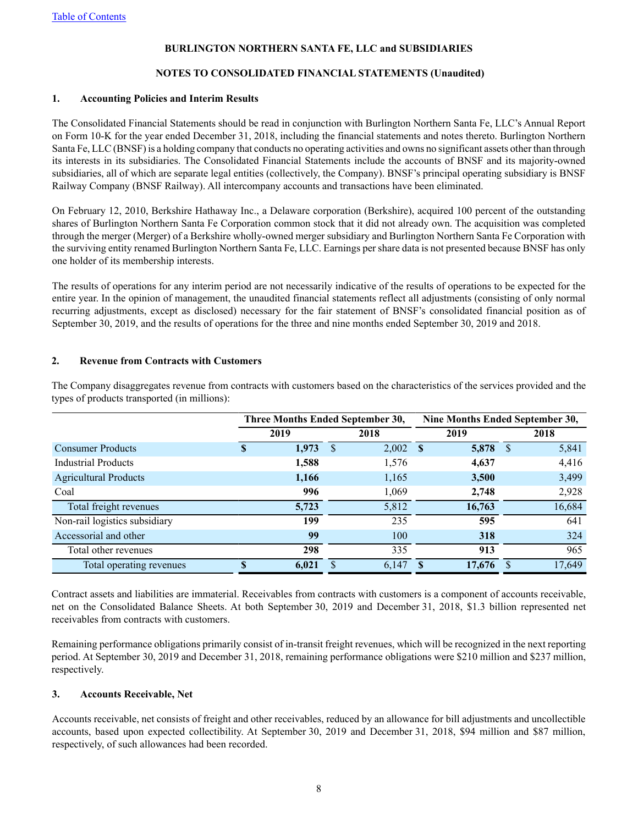#### **NOTES TO CONSOLIDATED FINANCIAL STATEMENTS (Unaudited)**

#### **1. Accounting Policies and Interim Results**

The Consolidated Financial Statements should be read in conjunction with Burlington Northern Santa Fe, LLC's Annual Report on Form 10-K for the year ended December 31, 2018, including the financial statements and notes thereto. Burlington Northern Santa Fe, LLC (BNSF) is a holding company that conducts no operating activities and owns no significant assets other than through its interests in its subsidiaries. The Consolidated Financial Statements include the accounts of BNSF and its majority-owned subsidiaries, all of which are separate legal entities (collectively, the Company). BNSF's principal operating subsidiary is BNSF Railway Company (BNSF Railway). All intercompany accounts and transactions have been eliminated.

On February 12, 2010, Berkshire Hathaway Inc., a Delaware corporation (Berkshire), acquired 100 percent of the outstanding shares of Burlington Northern Santa Fe Corporation common stock that it did not already own. The acquisition was completed through the merger (Merger) of a Berkshire wholly-owned merger subsidiary and Burlington Northern Santa Fe Corporation with the surviving entity renamed Burlington Northern Santa Fe, LLC. Earnings per share data is not presented because BNSF has only one holder of its membership interests.

The results of operations for any interim period are not necessarily indicative of the results of operations to be expected for the entire year. In the opinion of management, the unaudited financial statements reflect all adjustments (consisting of only normal recurring adjustments, except as disclosed) necessary for the fair statement of BNSF's consolidated financial position as of September 30, 2019, and the results of operations for the three and nine months ended September 30, 2019 and 2018.

#### **2. Revenue from Contracts with Customers**

|                               |   | Three Months Ended September 30, |   |       |   | Nine Months Ended September 30, |              |        |  |  |
|-------------------------------|---|----------------------------------|---|-------|---|---------------------------------|--------------|--------|--|--|
|                               |   | 2019                             |   | 2018  |   | 2019                            |              | 2018   |  |  |
| <b>Consumer Products</b>      | S | 1,973                            | S | 2,002 | S | 5,878                           | <sup>S</sup> | 5,841  |  |  |
| <b>Industrial Products</b>    |   | 1,588                            |   | 1,576 |   | 4,637                           |              | 4,416  |  |  |
| <b>Agricultural Products</b>  |   | 1,166                            |   | 1,165 |   | 3,500                           |              | 3,499  |  |  |
| Coal                          |   | 996                              |   | 1,069 |   | 2,748                           |              | 2,928  |  |  |
| Total freight revenues        |   | 5,723                            |   | 5,812 |   | 16,763                          |              | 16,684 |  |  |
| Non-rail logistics subsidiary |   | 199                              |   | 235   |   | 595                             |              | 641    |  |  |
| Accessorial and other         |   | 99                               |   | 100   |   | 318                             |              | 324    |  |  |
| Total other revenues          |   | 298                              |   | 335   |   | 913                             |              | 965    |  |  |
| Total operating revenues      | S | 6.021                            |   | 6,147 | S | 17,676                          |              | 17,649 |  |  |

The Company disaggregates revenue from contracts with customers based on the characteristics of the services provided and the types of products transported (in millions):

Contract assets and liabilities are immaterial. Receivables from contracts with customers is a component of accounts receivable, net on the Consolidated Balance Sheets. At both September 30, 2019 and December 31, 2018, \$1.3 billion represented net receivables from contracts with customers.

Remaining performance obligations primarily consist of in-transit freight revenues, which will be recognized in the next reporting period. At September 30, 2019 and December 31, 2018, remaining performance obligations were \$210 million and \$237 million, respectively.

#### **3. Accounts Receivable, Net**

Accounts receivable, net consists of freight and other receivables, reduced by an allowance for bill adjustments and uncollectible accounts, based upon expected collectibility. At September 30, 2019 and December 31, 2018, \$94 million and \$87 million, respectively, of such allowances had been recorded.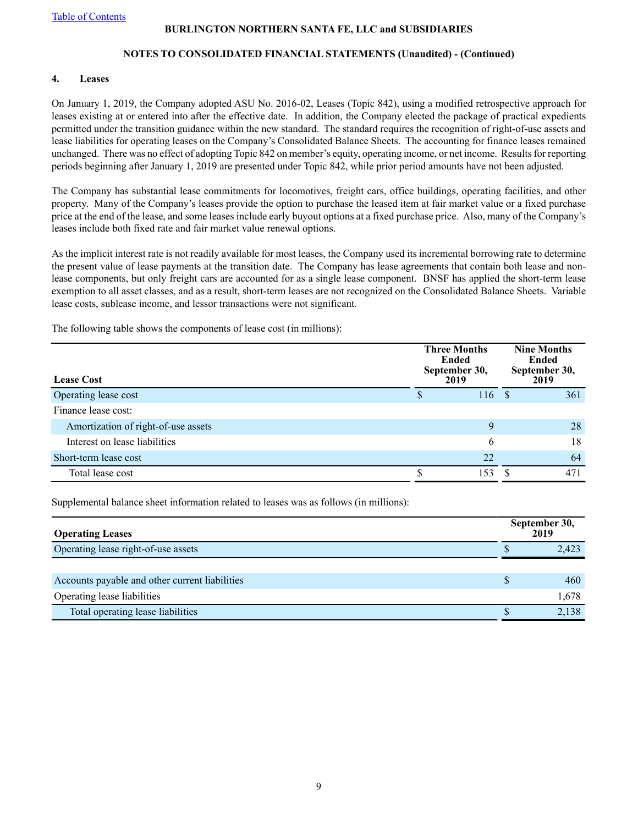#### **NOTES TO CONSOLIDATED FINANCIAL STATEMENTS (Unaudited) - (Continued)**

#### **4. Leases**

On January 1, 2019, the Company adopted ASU No. 2016-02, Leases (Topic 842), using a modified retrospective approach for leases existing at or entered into after the effective date. In addition, the Company elected the package of practical expedients permitted under the transition guidance within the new standard. The standard requires the recognition of right-of-use assets and lease liabilities for operating leases on the Company's Consolidated Balance Sheets. The accounting for finance leases remained unchanged. There was no effect of adopting Topic 842 on member's equity, operating income, or net income. Results for reporting periods beginning after January 1, 2019 are presented under Topic 842, while prior period amounts have not been adjusted.

The Company has substantial lease commitments for locomotives, freight cars, office buildings, operating facilities, and other property. Many of the Company's leases provide the option to purchase the leased item at fair market value or a fixed purchase price at the end of the lease, and some leases include early buyout options at a fixed purchase price. Also, many of the Company's leases include both fixed rate and fair market value renewal options.

As the implicit interest rate is not readily available for most leases, the Company used its incremental borrowing rate to determine the present value of lease payments at the transition date. The Company has lease agreements that contain both lease and nonlease components, but only freight cars are accounted for as a single lease component. BNSF has applied the short-term lease exemption to all asset classes, and as a result, short-term leases are not recognized on the Consolidated Balance Sheets. Variable lease costs, sublease income, and lessor transactions were not significant.

The following table shows the components of lease cost (in millions):

| <b>Lease Cost</b>                   | <b>Three Months</b><br>Ended<br>September 30,<br>2019 |     |  | <b>Nine Months</b><br>Ended<br>September 30,<br>2019 |  |  |
|-------------------------------------|-------------------------------------------------------|-----|--|------------------------------------------------------|--|--|
| Operating lease cost                |                                                       | 116 |  | 361                                                  |  |  |
| Finance lease cost:                 |                                                       |     |  |                                                      |  |  |
| Amortization of right-of-use assets |                                                       | 9   |  | 28                                                   |  |  |
| Interest on lease liabilities       |                                                       | 6   |  | 18                                                   |  |  |
| Short-term lease cost               |                                                       | 22  |  | 64                                                   |  |  |
| Total lease cost                    |                                                       | 153 |  | 471                                                  |  |  |

Supplemental balance sheet information related to leases was as follows (in millions):

| <b>Operating Leases</b>                        | September 30,<br>2019 |
|------------------------------------------------|-----------------------|
| Operating lease right-of-use assets            | 2,423                 |
|                                                |                       |
| Accounts payable and other current liabilities | 460                   |
| Operating lease liabilities                    | 1,678                 |
| Total operating lease liabilities              | 2,138                 |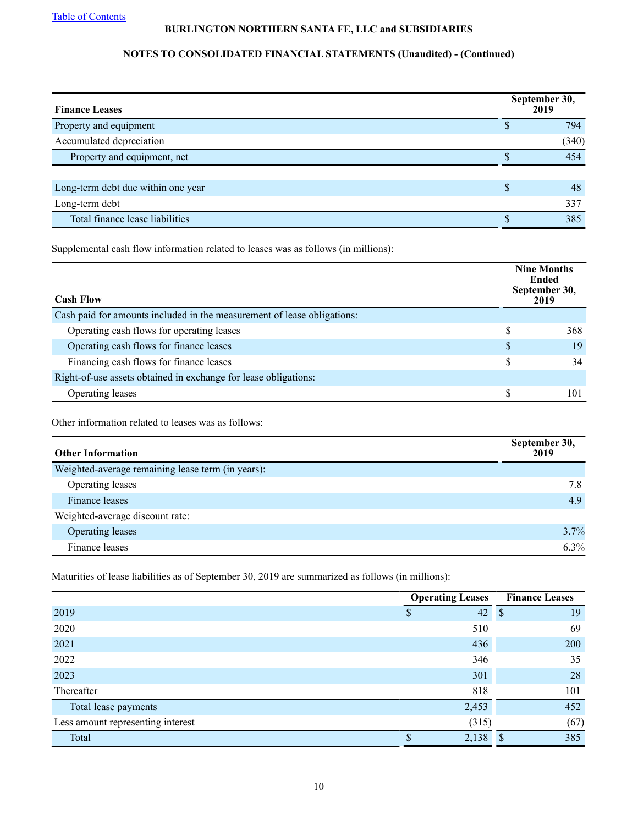#### [Table of Contents](#page-1-0)

### **BURLINGTON NORTHERN SANTA FE, LLC and SUBSIDIARIES**

## **NOTES TO CONSOLIDATED FINANCIAL STATEMENTS (Unaudited) - (Continued)**

| <b>Finance Leases</b>              |   | September 30,<br>2019 |
|------------------------------------|---|-----------------------|
| Property and equipment             |   | 794                   |
| Accumulated depreciation           |   | (340)                 |
| Property and equipment, net        |   | 454                   |
|                                    |   |                       |
| Long-term debt due within one year | S | 48                    |
| Long-term debt                     |   | 337                   |
| Total finance lease liabilities    |   | 385                   |

Supplemental cash flow information related to leases was as follows (in millions):

| <b>Cash Flow</b>                                                        |    | <b>Nine Months</b><br>Ended<br>September 30,<br>2019 |
|-------------------------------------------------------------------------|----|------------------------------------------------------|
| Cash paid for amounts included in the measurement of lease obligations: |    |                                                      |
| Operating cash flows for operating leases                               | S  | 368                                                  |
| Operating cash flows for finance leases                                 | S  | 19                                                   |
| Financing cash flows for finance leases                                 | \$ | 34                                                   |
| Right-of-use assets obtained in exchange for lease obligations:         |    |                                                      |
| Operating leases                                                        |    | 101                                                  |

Other information related to leases was as follows:

| <b>Other Information</b>                          | September 30,<br>2019 |
|---------------------------------------------------|-----------------------|
| Weighted-average remaining lease term (in years): |                       |
| Operating leases                                  | 7.8                   |
| Finance leases                                    | 4.9                   |
| Weighted-average discount rate:                   |                       |
| Operating leases                                  | 3.7%                  |
| Finance leases                                    | $6.3\%$               |

Maturities of lease liabilities as of September 30, 2019 are summarized as follows (in millions):

|                                   |        | <b>Operating Leases</b> |                    | <b>Finance Leases</b> |
|-----------------------------------|--------|-------------------------|--------------------|-----------------------|
| 2019                              | \$     | 42                      | $\mathbf{\hat{S}}$ | 19                    |
| 2020                              |        | 510                     |                    | 69                    |
| 2021                              |        | 436                     |                    | 200                   |
| 2022                              |        | 346                     |                    | 35                    |
| 2023                              |        | 301                     |                    | 28                    |
| Thereafter                        |        | 818                     |                    | 101                   |
| Total lease payments              |        | 2,453                   |                    | 452                   |
| Less amount representing interest |        | (315)                   |                    | (67)                  |
| Total                             | ¢<br>D | 2,138                   |                    | 385                   |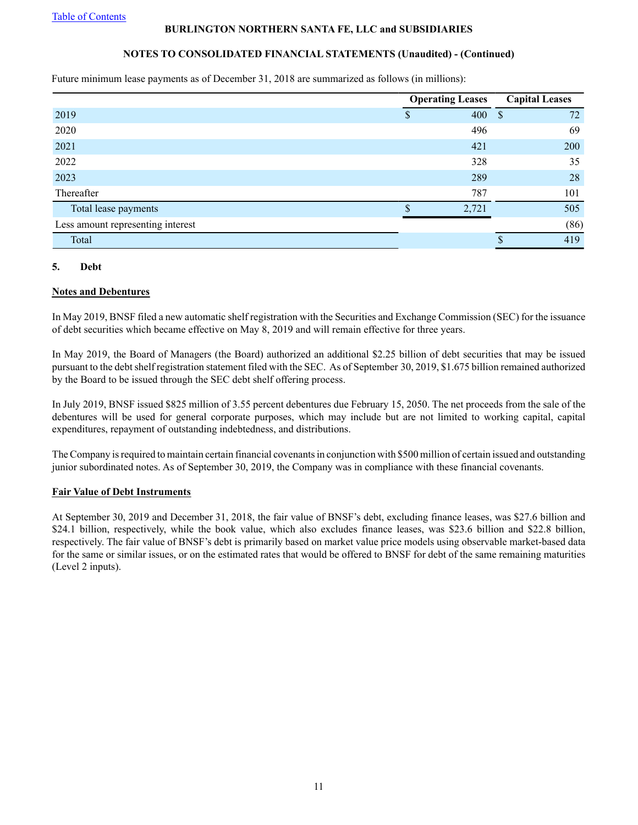### **NOTES TO CONSOLIDATED FINANCIAL STATEMENTS (Unaudited) - (Continued)**

Future minimum lease payments as of December 31, 2018 are summarized as follows (in millions):

|                                   | <b>Operating Leases</b> | <b>Capital Leases</b> |
|-----------------------------------|-------------------------|-----------------------|
| 2019                              | 400<br>Φ                | \$<br>72              |
| 2020                              | 496                     | 69                    |
| 2021                              | 421                     | 200                   |
| 2022                              | 328                     | 35                    |
| 2023                              | 289                     | 28                    |
| Thereafter                        | 787                     | 101                   |
| Total lease payments              | 2,721                   | 505                   |
| Less amount representing interest |                         | (86)                  |
| Total                             |                         | 419                   |

#### **5. Debt**

#### **Notes and Debentures**

In May 2019, BNSF filed a new automatic shelf registration with the Securities and Exchange Commission (SEC) for the issuance of debt securities which became effective on May 8, 2019 and will remain effective for three years.

In May 2019, the Board of Managers (the Board) authorized an additional \$2.25 billion of debt securities that may be issued pursuant to the debt shelf registration statement filed with the SEC. As of September 30, 2019, \$1.675 billion remained authorized by the Board to be issued through the SEC debt shelf offering process.

In July 2019, BNSF issued \$825 million of 3.55 percent debentures due February 15, 2050. The net proceeds from the sale of the debentures will be used for general corporate purposes, which may include but are not limited to working capital, capital expenditures, repayment of outstanding indebtedness, and distributions.

The Company is required to maintain certain financial covenants in conjunction with \$500 million of certain issued and outstanding junior subordinated notes. As of September 30, 2019, the Company was in compliance with these financial covenants.

#### **Fair Value of Debt Instruments**

At September 30, 2019 and December 31, 2018, the fair value of BNSF's debt, excluding finance leases, was \$27.6 billion and \$24.1 billion, respectively, while the book value, which also excludes finance leases, was \$23.6 billion and \$22.8 billion, respectively. The fair value of BNSF's debt is primarily based on market value price models using observable market-based data for the same or similar issues, or on the estimated rates that would be offered to BNSF for debt of the same remaining maturities (Level 2 inputs).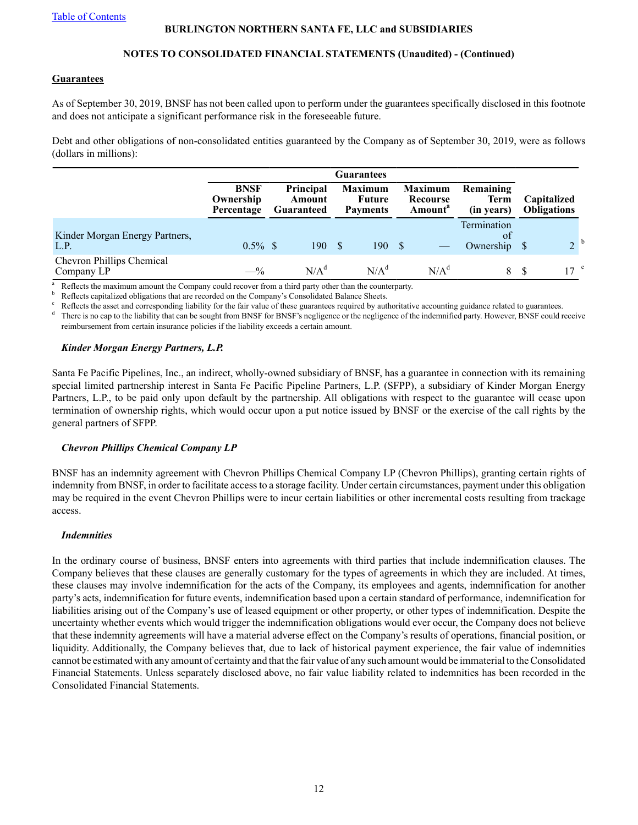#### **NOTES TO CONSOLIDATED FINANCIAL STATEMENTS (Unaudited) - (Continued)**

#### **Guarantees**

As of September 30, 2019, BNSF has not been called upon to perform under the guarantees specifically disclosed in this footnote and does not anticipate a significant performance risk in the foreseeable future.

Debt and other obligations of non-consolidated entities guaranteed by the Company as of September 30, 2019, were as follows (dollars in millions):

|                                         | <b>Guarantees</b>                      |                                          |                  |                                             |                  |                                                   |                  |                                           |  |                                   |
|-----------------------------------------|----------------------------------------|------------------------------------------|------------------|---------------------------------------------|------------------|---------------------------------------------------|------------------|-------------------------------------------|--|-----------------------------------|
|                                         | <b>BNSF</b><br>Ownership<br>Percentage | <b>Principal</b><br>Amount<br>Guaranteed |                  | <b>Maximum</b><br>Future<br><b>Payments</b> |                  | <b>Maximum</b><br>Recourse<br>Amount <sup>"</sup> |                  | Remaining<br>Term<br>(in years)           |  | Capitalized<br><b>Obligations</b> |
| Kinder Morgan Energy Partners,<br>L.P.  | $0.5\%$ \$                             |                                          | 190              |                                             | 190              |                                                   |                  | Termination<br><sub>of</sub><br>Ownership |  | 2 <sup>b</sup>                    |
| Chevron Phillips Chemical<br>Company LP | $-$ %                                  |                                          | N/A <sup>d</sup> |                                             | N/A <sup>d</sup> |                                                   | N/A <sup>d</sup> | 8                                         |  | 17 <sup>c</sup>                   |

Reflects the maximum amount the Company could recover from a third party other than the counterparty.

<sup>b</sup>Reflects capitalized obligations that are recorded on the Company's Consolidated Balance Sheets.

Reflects the asset and corresponding liability for the fair value of these guarantees required by authoritative accounting guidance related to guarantees.

There is no cap to the liability that can be sought from BNSF for BNSF's negligence or the negligence of the indemnified party. However, BNSF could receive reimbursement from certain insurance policies if the liability exceeds a certain amount.

#### *Kinder Morgan Energy Partners, L.P.*

Santa Fe Pacific Pipelines, Inc., an indirect, wholly-owned subsidiary of BNSF, has a guarantee in connection with its remaining special limited partnership interest in Santa Fe Pacific Pipeline Partners, L.P. (SFPP), a subsidiary of Kinder Morgan Energy Partners, L.P., to be paid only upon default by the partnership. All obligations with respect to the guarantee will cease upon termination of ownership rights, which would occur upon a put notice issued by BNSF or the exercise of the call rights by the general partners of SFPP.

#### *Chevron Phillips Chemical Company LP*

BNSF has an indemnity agreement with Chevron Phillips Chemical Company LP (Chevron Phillips), granting certain rights of indemnity from BNSF, in order to facilitate access to a storage facility. Under certain circumstances, payment under this obligation may be required in the event Chevron Phillips were to incur certain liabilities or other incremental costs resulting from trackage access.

#### *Indemnities*

In the ordinary course of business, BNSF enters into agreements with third parties that include indemnification clauses. The Company believes that these clauses are generally customary for the types of agreements in which they are included. At times, these clauses may involve indemnification for the acts of the Company, its employees and agents, indemnification for another party's acts, indemnification for future events, indemnification based upon a certain standard of performance, indemnification for liabilities arising out of the Company's use of leased equipment or other property, or other types of indemnification. Despite the uncertainty whether events which would trigger the indemnification obligations would ever occur, the Company does not believe that these indemnity agreements will have a material adverse effect on the Company's results of operations, financial position, or liquidity. Additionally, the Company believes that, due to lack of historical payment experience, the fair value of indemnities cannot be estimated with any amount of certainty and that the fair value of any such amount would be immaterial to the Consolidated Financial Statements. Unless separately disclosed above, no fair value liability related to indemnities has been recorded in the Consolidated Financial Statements.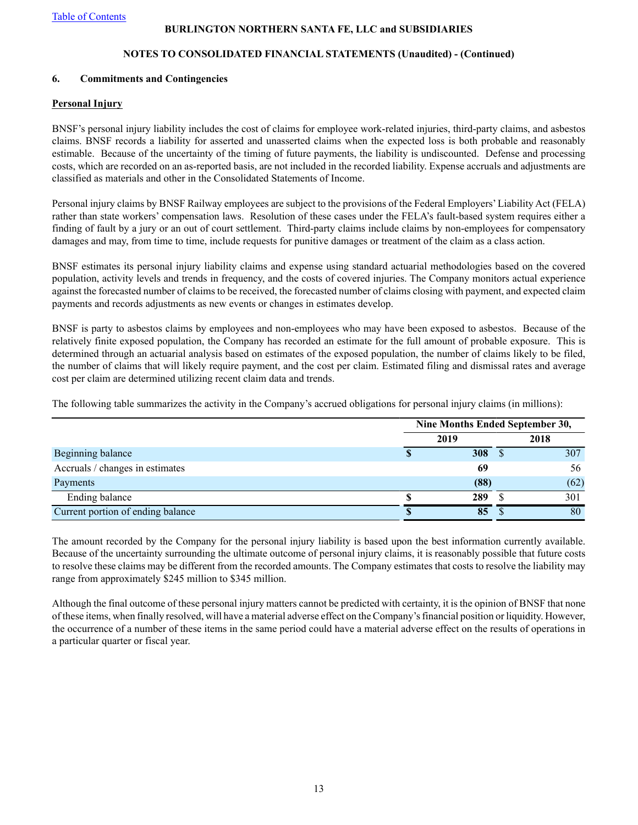#### **NOTES TO CONSOLIDATED FINANCIAL STATEMENTS (Unaudited) - (Continued)**

#### **6. Commitments and Contingencies**

#### **Personal Injury**

BNSF's personal injury liability includes the cost of claims for employee work-related injuries, third-party claims, and asbestos claims. BNSF records a liability for asserted and unasserted claims when the expected loss is both probable and reasonably estimable. Because of the uncertainty of the timing of future payments, the liability is undiscounted. Defense and processing costs, which are recorded on an as-reported basis, are not included in the recorded liability. Expense accruals and adjustments are classified as materials and other in the Consolidated Statements of Income.

Personal injury claims by BNSF Railway employees are subject to the provisions of the Federal Employers'Liability Act (FELA) rather than state workers' compensation laws. Resolution of these cases under the FELA's fault-based system requires either a finding of fault by a jury or an out of court settlement. Third-party claims include claims by non-employees for compensatory damages and may, from time to time, include requests for punitive damages or treatment of the claim as a class action.

BNSF estimates its personal injury liability claims and expense using standard actuarial methodologies based on the covered population, activity levels and trends in frequency, and the costs of covered injuries. The Company monitors actual experience against the forecasted number of claims to be received, the forecasted number of claims closing with payment, and expected claim payments and records adjustments as new events or changes in estimates develop.

BNSF is party to asbestos claims by employees and non-employees who may have been exposed to asbestos. Because of the relatively finite exposed population, the Company has recorded an estimate for the full amount of probable exposure. This is determined through an actuarial analysis based on estimates of the exposed population, the number of claims likely to be filed, the number of claims that will likely require payment, and the cost per claim. Estimated filing and dismissal rates and average cost per claim are determined utilizing recent claim data and trends.

The following table summarizes the activity in the Company's accrued obligations for personal injury claims (in millions):

|                                   | Nine Months Ended September 30, |      |  |      |  |  |
|-----------------------------------|---------------------------------|------|--|------|--|--|
|                                   |                                 | 2019 |  | 2018 |  |  |
| Beginning balance                 |                                 | 308  |  | 307  |  |  |
| Accruals / changes in estimates   |                                 | 69   |  | 56   |  |  |
| Payments                          |                                 | (88) |  | (62) |  |  |
| Ending balance                    |                                 | 289  |  | 301  |  |  |
| Current portion of ending balance |                                 | 85   |  | 80   |  |  |

The amount recorded by the Company for the personal injury liability is based upon the best information currently available. Because of the uncertainty surrounding the ultimate outcome of personal injury claims, it is reasonably possible that future costs to resolve these claims may be different from the recorded amounts. The Company estimates that costs to resolve the liability may range from approximately \$245 million to \$345 million.

Although the final outcome of these personal injury matters cannot be predicted with certainty, it is the opinion of BNSF that none of these items, when finally resolved, will have a material adverse effect on the Company's financial position or liquidity. However, the occurrence of a number of these items in the same period could have a material adverse effect on the results of operations in a particular quarter or fiscal year.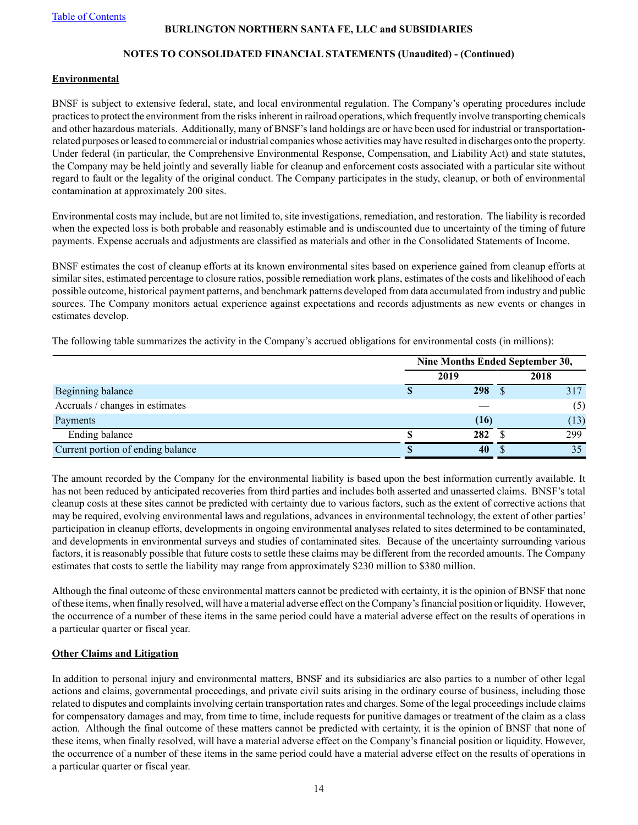#### **NOTES TO CONSOLIDATED FINANCIAL STATEMENTS (Unaudited) - (Continued)**

#### **Environmental**

BNSF is subject to extensive federal, state, and local environmental regulation. The Company's operating procedures include practices to protect the environment from the risks inherent in railroad operations, which frequently involve transporting chemicals and other hazardous materials. Additionally, many of BNSF's land holdings are or have been used for industrial or transportationrelated purposes or leased to commercial or industrial companies whose activities may have resulted in discharges onto the property. Under federal (in particular, the Comprehensive Environmental Response, Compensation, and Liability Act) and state statutes, the Company may be held jointly and severally liable for cleanup and enforcement costs associated with a particular site without regard to fault or the legality of the original conduct. The Company participates in the study, cleanup, or both of environmental contamination at approximately 200 sites.

Environmental costs may include, but are not limited to, site investigations, remediation, and restoration. The liability is recorded when the expected loss is both probable and reasonably estimable and is undiscounted due to uncertainty of the timing of future payments. Expense accruals and adjustments are classified as materials and other in the Consolidated Statements of Income.

BNSF estimates the cost of cleanup efforts at its known environmental sites based on experience gained from cleanup efforts at similar sites, estimated percentage to closure ratios, possible remediation work plans, estimates of the costs and likelihood of each possible outcome, historical payment patterns, and benchmark patterns developed from data accumulated from industry and public sources. The Company monitors actual experience against expectations and records adjustments as new events or changes in estimates develop.

The following table summarizes the activity in the Company's accrued obligations for environmental costs (in millions):

|                                   | Nine Months Ended September 30, |            |  |      |  |  |  |
|-----------------------------------|---------------------------------|------------|--|------|--|--|--|
|                                   |                                 | 2019       |  | 2018 |  |  |  |
| Beginning balance                 |                                 | <b>298</b> |  | 317  |  |  |  |
| Accruals / changes in estimates   |                                 |            |  | (5)  |  |  |  |
| Payments                          |                                 | (16)       |  | (13) |  |  |  |
| Ending balance                    |                                 | 282        |  | 299  |  |  |  |
| Current portion of ending balance |                                 | 40         |  | 35   |  |  |  |

The amount recorded by the Company for the environmental liability is based upon the best information currently available. It has not been reduced by anticipated recoveries from third parties and includes both asserted and unasserted claims. BNSF's total cleanup costs at these sites cannot be predicted with certainty due to various factors, such as the extent of corrective actions that may be required, evolving environmental laws and regulations, advances in environmental technology, the extent of other parties' participation in cleanup efforts, developments in ongoing environmental analyses related to sites determined to be contaminated, and developments in environmental surveys and studies of contaminated sites. Because of the uncertainty surrounding various factors, it is reasonably possible that future costs to settle these claims may be different from the recorded amounts. The Company estimates that costs to settle the liability may range from approximately \$230 million to \$380 million.

Although the final outcome of these environmental matters cannot be predicted with certainty, it is the opinion of BNSF that none of these items, when finally resolved, will have a material adverse effect on the Company's financial position or liquidity. However, the occurrence of a number of these items in the same period could have a material adverse effect on the results of operations in a particular quarter or fiscal year.

#### **Other Claims and Litigation**

In addition to personal injury and environmental matters, BNSF and its subsidiaries are also parties to a number of other legal actions and claims, governmental proceedings, and private civil suits arising in the ordinary course of business, including those related to disputes and complaints involving certain transportation rates and charges. Some of the legal proceedings include claims for compensatory damages and may, from time to time, include requests for punitive damages or treatment of the claim as a class action. Although the final outcome of these matters cannot be predicted with certainty, it is the opinion of BNSF that none of these items, when finally resolved, will have a material adverse effect on the Company's financial position or liquidity. However, the occurrence of a number of these items in the same period could have a material adverse effect on the results of operations in a particular quarter or fiscal year.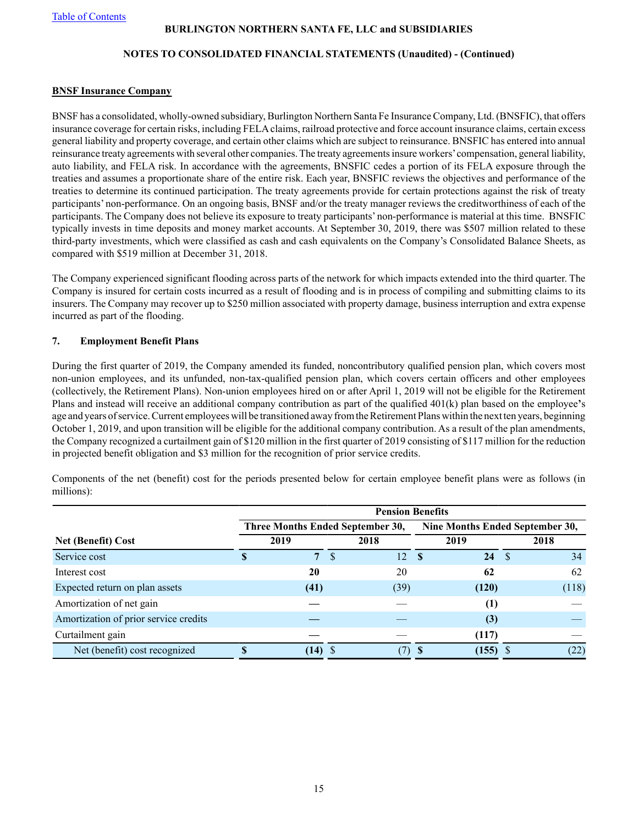#### **NOTES TO CONSOLIDATED FINANCIAL STATEMENTS (Unaudited) - (Continued)**

#### **BNSF Insurance Company**

BNSF has a consolidated, wholly-owned subsidiary, Burlington Northern Santa Fe Insurance Company, Ltd. (BNSFIC), that offers insurance coverage for certain risks, including FELAclaims, railroad protective and force account insurance claims, certain excess general liability and property coverage, and certain other claims which are subject to reinsurance. BNSFIC has entered into annual reinsurance treaty agreements with several other companies. The treaty agreements insure workers'compensation, general liability, auto liability, and FELA risk. In accordance with the agreements, BNSFIC cedes a portion of its FELA exposure through the treaties and assumes a proportionate share of the entire risk. Each year, BNSFIC reviews the objectives and performance of the treaties to determine its continued participation. The treaty agreements provide for certain protections against the risk of treaty participants' non-performance. On an ongoing basis, BNSF and/or the treaty manager reviews the creditworthiness of each of the participants. The Company does not believe its exposure to treaty participants' non-performance is material at this time. BNSFIC typically invests in time deposits and money market accounts. At September 30, 2019, there was \$507 million related to these third-party investments, which were classified as cash and cash equivalents on the Company's Consolidated Balance Sheets, as compared with \$519 million at December 31, 2018.

The Company experienced significant flooding across parts of the network for which impacts extended into the third quarter. The Company is insured for certain costs incurred as a result of flooding and is in process of compiling and submitting claims to its insurers. The Company may recover up to \$250 million associated with property damage, business interruption and extra expense incurred as part of the flooding.

#### **7. Employment Benefit Plans**

During the first quarter of 2019, the Company amended its funded, noncontributory qualified pension plan, which covers most non-union employees, and its unfunded, non-tax-qualified pension plan, which covers certain officers and other employees (collectively, the Retirement Plans). Non-union employees hired on or after April 1, 2019 will not be eligible for the Retirement Plans and instead will receive an additional company contribution as part of the qualified 401(k) plan based on the employee**'**s age and years of service. Current employees will be transitioned away from the Retirement Plans within the next ten years, beginning October 1, 2019, and upon transition will be eligible for the additional company contribution. As a result of the plan amendments, the Company recognized a curtailment gain of \$120 million in the first quarter of 2019 consisting of \$117 million for the reduction in projected benefit obligation and \$3 million for the recognition of prior service credits.

Components of the net (benefit) cost for the periods presented below for certain employee benefit plans were as follows (in millions):

|                                       | <b>Pension Benefits</b> |                                  |      |      |                                 |            |      |       |  |  |  |
|---------------------------------------|-------------------------|----------------------------------|------|------|---------------------------------|------------|------|-------|--|--|--|
|                                       |                         | Three Months Ended September 30, |      |      | Nine Months Ended September 30, |            |      |       |  |  |  |
| <b>Net (Benefit) Cost</b>             |                         | 2019                             | 2018 |      | 2019                            |            | 2018 |       |  |  |  |
| Service cost                          | æ                       | 7 <sup>1</sup>                   | S    | 12   | -8                              | 24         | - \$ | 34    |  |  |  |
| Interest cost                         |                         | 20                               |      | 20   |                                 | 62         |      | 62    |  |  |  |
| Expected return on plan assets        |                         | (41)                             |      | (39) |                                 | (120)      |      | (118) |  |  |  |
| Amortization of net gain              |                         |                                  |      |      |                                 |            |      |       |  |  |  |
| Amortization of prior service credits |                         |                                  |      |      |                                 | (3)        |      |       |  |  |  |
| Curtailment gain                      |                         |                                  |      |      |                                 | (117)      |      |       |  |  |  |
| Net (benefit) cost recognized         |                         | (14)                             |      |      |                                 | $(155)$ \$ |      | (22)  |  |  |  |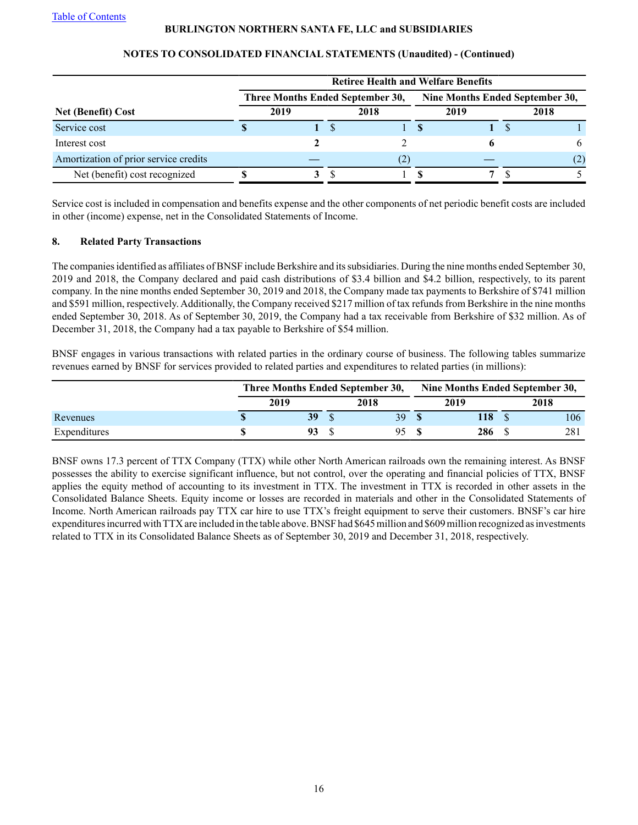|                                       | <b>Retiree Health and Welfare Benefits</b> |      |  |                                  |                                 |      |  |      |  |  |  |  |
|---------------------------------------|--------------------------------------------|------|--|----------------------------------|---------------------------------|------|--|------|--|--|--|--|
|                                       |                                            |      |  | Three Months Ended September 30, | Nine Months Ended September 30, |      |  |      |  |  |  |  |
| <b>Net (Benefit) Cost</b>             |                                            | 2019 |  | 2018                             |                                 | 2019 |  | 2018 |  |  |  |  |
| Service cost                          |                                            |      |  |                                  |                                 |      |  |      |  |  |  |  |
| Interest cost                         |                                            |      |  |                                  |                                 |      |  | 6    |  |  |  |  |
| Amortization of prior service credits |                                            |      |  | (2)                              |                                 |      |  | (2)  |  |  |  |  |
| Net (benefit) cost recognized         |                                            |      |  |                                  |                                 |      |  |      |  |  |  |  |

#### **NOTES TO CONSOLIDATED FINANCIAL STATEMENTS (Unaudited) - (Continued)**

Service cost is included in compensation and benefits expense and the other components of net periodic benefit costs are included in other (income) expense, net in the Consolidated Statements of Income.

#### **8. Related Party Transactions**

The companies identified as affiliates of BNSF include Berkshire and its subsidiaries. During the nine months ended September 30, 2019 and 2018, the Company declared and paid cash distributions of \$3.4 billion and \$4.2 billion, respectively, to its parent company. In the nine months ended September 30, 2019 and 2018, the Company made tax payments to Berkshire of \$741 million and \$591 million, respectively. Additionally, the Company received \$217 million of tax refunds from Berkshire in the nine months ended September 30, 2018. As of September 30, 2019, the Company had a tax receivable from Berkshire of \$32 million. As of December 31, 2018, the Company had a tax payable to Berkshire of \$54 million.

BNSF engages in various transactions with related parties in the ordinary course of business. The following tables summarize revenues earned by BNSF for services provided to related parties and expenditures to related parties (in millions):

|              | Three Months Ended September 30, |    |  |      |  | Nine Months Ended September 30, |  |      |  |  |  |
|--------------|----------------------------------|----|--|------|--|---------------------------------|--|------|--|--|--|
|              | 2019                             |    |  | 2018 |  | 2019                            |  | 2018 |  |  |  |
| Revenues     |                                  | 39 |  | 39   |  | 118                             |  | 106  |  |  |  |
| Expenditures |                                  | 93 |  |      |  | 286                             |  | 281  |  |  |  |

BNSF owns 17.3 percent of TTX Company (TTX) while other North American railroads own the remaining interest. As BNSF possesses the ability to exercise significant influence, but not control, over the operating and financial policies of TTX, BNSF applies the equity method of accounting to its investment in TTX. The investment in TTX is recorded in other assets in the Consolidated Balance Sheets. Equity income or losses are recorded in materials and other in the Consolidated Statements of Income. North American railroads pay TTX car hire to use TTX's freight equipment to serve their customers. BNSF's car hire expenditures incurred with TTX are included in the table above. BNSF had \$645 million and \$609 million recognized as investments related to TTX in its Consolidated Balance Sheets as of September 30, 2019 and December 31, 2018, respectively.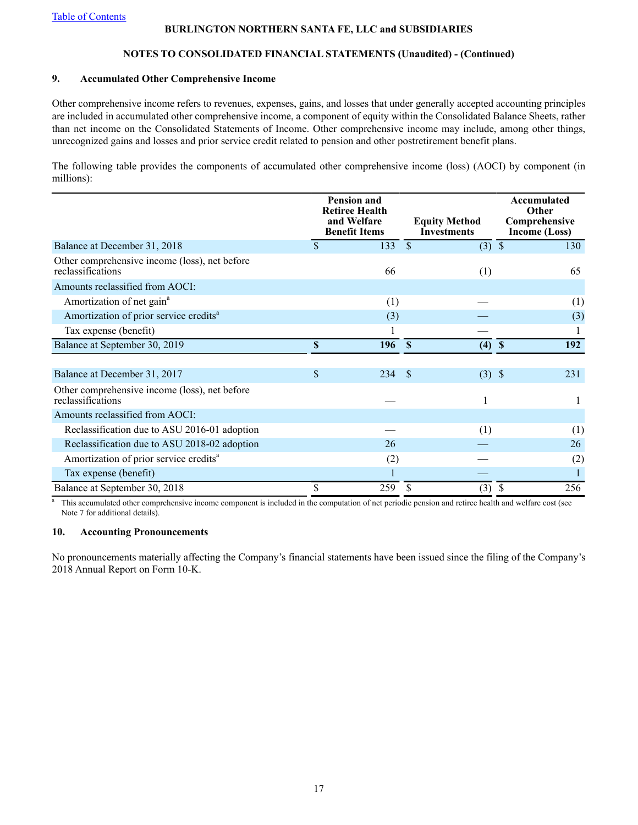#### **NOTES TO CONSOLIDATED FINANCIAL STATEMENTS (Unaudited) - (Continued)**

#### **9. Accumulated Other Comprehensive Income**

Other comprehensive income refers to revenues, expenses, gains, and losses that under generally accepted accounting principles are included in accumulated other comprehensive income, a component of equity within the Consolidated Balance Sheets, rather than net income on the Consolidated Statements of Income. Other comprehensive income may include, among other things, unrecognized gains and losses and prior service credit related to pension and other postretirement benefit plans.

The following table provides the components of accumulated other comprehensive income (loss) (AOCI) by component (in millions):

|                                                                    | <b>Pension and</b><br><b>Retiree Health</b><br>and Welfare<br><b>Benefit Items</b> |               | <b>Equity Method</b><br><b>Investments</b> | Accumulated<br>Other<br>Comprehensive<br>Income (Loss) |     |
|--------------------------------------------------------------------|------------------------------------------------------------------------------------|---------------|--------------------------------------------|--------------------------------------------------------|-----|
| Balance at December 31, 2018                                       | \$<br>133                                                                          | $\mathcal{S}$ | $(3)$ \$                                   |                                                        | 130 |
| Other comprehensive income (loss), net before<br>reclassifications | 66                                                                                 |               | (1)                                        |                                                        | 65  |
| Amounts reclassified from AOCI:                                    |                                                                                    |               |                                            |                                                        |     |
| Amortization of net gain <sup>a</sup>                              | (1)                                                                                |               |                                            |                                                        | (1) |
| Amortization of prior service credits <sup>a</sup>                 | (3)                                                                                |               |                                            |                                                        | (3) |
| Tax expense (benefit)                                              |                                                                                    |               |                                            |                                                        |     |
| Balance at September 30, 2019                                      | \$<br>196                                                                          | <b>S</b>      | $(4)$ \$                                   |                                                        | 192 |
|                                                                    |                                                                                    |               |                                            |                                                        |     |
| Balance at December 31, 2017                                       | \$<br>234                                                                          | $\mathcal{S}$ | $(3)$ \$                                   |                                                        | 231 |
| Other comprehensive income (loss), net before<br>reclassifications |                                                                                    |               |                                            |                                                        |     |
| Amounts reclassified from AOCI:                                    |                                                                                    |               |                                            |                                                        |     |
| Reclassification due to ASU 2016-01 adoption                       |                                                                                    |               | (1)                                        |                                                        | (1) |
| Reclassification due to ASU 2018-02 adoption                       | 26                                                                                 |               |                                            |                                                        | 26  |
| Amortization of prior service credits <sup>a</sup>                 | (2)                                                                                |               |                                            |                                                        | (2) |
| Tax expense (benefit)                                              |                                                                                    |               |                                            |                                                        |     |
| Balance at September 30, 2018                                      | \$<br>259                                                                          | \$            | (3)                                        | $\mathcal{S}$                                          | 256 |

a This accumulated other comprehensive income component is included in the computation of net periodic pension and retiree health and welfare cost (see Note 7 for additional details).

#### **10. Accounting Pronouncements**

No pronouncements materially affecting the Company's financial statements have been issued since the filing of the Company's 2018 Annual Report on Form 10-K.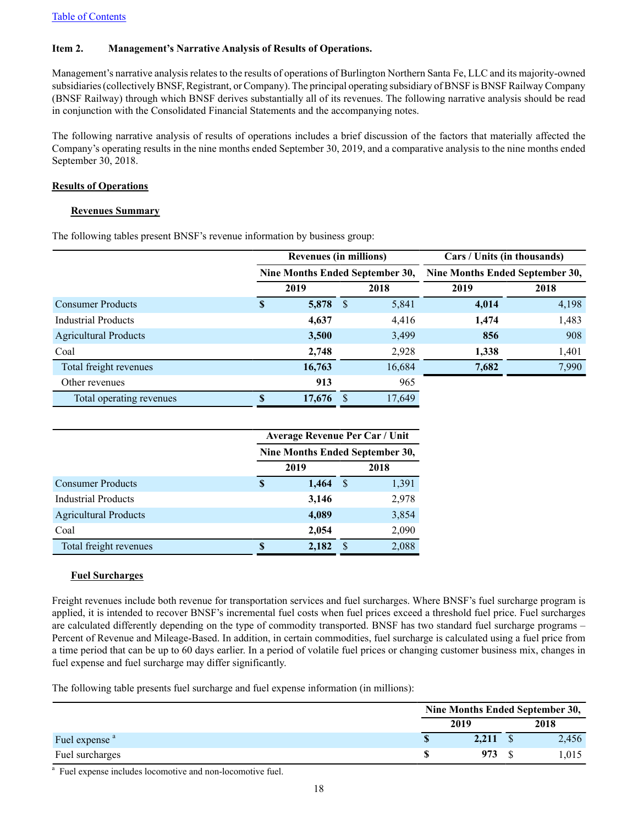#### <span id="page-17-0"></span>**Item 2. Management's Narrative Analysis of Results of Operations.**

Management's narrative analysis relates to the results of operations of Burlington Northern Santa Fe, LLC and its majority-owned subsidiaries (collectively BNSF, Registrant, or Company). The principal operating subsidiary of BNSF is BNSF Railway Company (BNSF Railway) through which BNSF derives substantially all of its revenues. The following narrative analysis should be read in conjunction with the Consolidated Financial Statements and the accompanying notes.

The following narrative analysis of results of operations includes a brief discussion of the factors that materially affected the Company's operating results in the nine months ended September 30, 2019, and a comparative analysis to the nine months ended September 30, 2018.

#### **Results of Operations**

#### **Revenues Summary**

The following tables present BNSF's revenue information by business group:

|                              | <b>Revenues (in millions)</b>   |        |      |        | Cars / Units (in thousands)     |       |  |
|------------------------------|---------------------------------|--------|------|--------|---------------------------------|-------|--|
|                              | Nine Months Ended September 30, |        |      |        | Nine Months Ended September 30, |       |  |
|                              | 2019                            |        | 2018 |        | 2019                            | 2018  |  |
| <b>Consumer Products</b>     | S                               | 5,878  | -S   | 5,841  | 4,014                           | 4,198 |  |
| <b>Industrial Products</b>   |                                 | 4,637  |      | 4,416  | 1,474                           | 1,483 |  |
| <b>Agricultural Products</b> |                                 | 3,500  |      | 3,499  | 856                             | 908   |  |
| Coal                         |                                 | 2,748  |      | 2,928  | 1,338                           | 1,401 |  |
| Total freight revenues       |                                 | 16,763 |      | 16,684 | 7,682                           | 7,990 |  |
| Other revenues               |                                 | 913    |      | 965    |                                 |       |  |
| Total operating revenues     | <b>S</b>                        | 17,676 |      | 17,649 |                                 |       |  |

|                              |                                 | <b>Average Revenue Per Car / Unit</b> |              |       |  |  |
|------------------------------|---------------------------------|---------------------------------------|--------------|-------|--|--|
|                              | Nine Months Ended September 30, |                                       |              |       |  |  |
|                              |                                 | 2018                                  |              |       |  |  |
| <b>Consumer Products</b>     | <b>S</b>                        | 1,464                                 | <sup>S</sup> | 1,391 |  |  |
| <b>Industrial Products</b>   |                                 | 3,146                                 |              | 2,978 |  |  |
| <b>Agricultural Products</b> |                                 | 4,089                                 |              | 3,854 |  |  |
| Coal                         |                                 | 2,054                                 |              | 2,090 |  |  |
| Total freight revenues       |                                 | 2,182                                 | S            | 2,088 |  |  |

#### **Fuel Surcharges**

Freight revenues include both revenue for transportation services and fuel surcharges. Where BNSF's fuel surcharge program is applied, it is intended to recover BNSF's incremental fuel costs when fuel prices exceed a threshold fuel price. Fuel surcharges are calculated differently depending on the type of commodity transported. BNSF has two standard fuel surcharge programs – Percent of Revenue and Mileage-Based. In addition, in certain commodities, fuel surcharge is calculated using a fuel price from a time period that can be up to 60 days earlier. In a period of volatile fuel prices or changing customer business mix, changes in fuel expense and fuel surcharge may differ significantly.

The following table presents fuel surcharge and fuel expense information (in millions):

|                           | Nine Months Ended September 30, |       |  |       |  |
|---------------------------|---------------------------------|-------|--|-------|--|
|                           |                                 | 2019  |  | 2018  |  |
| Fuel expense <sup>a</sup> | Φ                               | 2,211 |  | 2,456 |  |
| Fuel surcharges           |                                 | 973   |  | 1.015 |  |

a Fuel expense includes locomotive and non-locomotive fuel.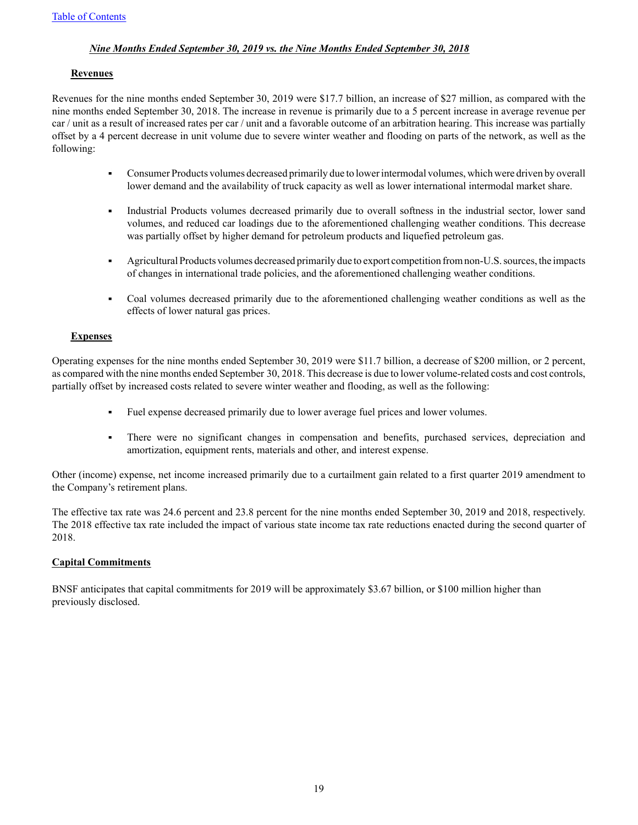#### *Nine Months Ended September 30, 2019 vs. the Nine Months Ended September 30, 2018*

#### **Revenues**

Revenues for the nine months ended September 30, 2019 were \$17.7 billion, an increase of \$27 million, as compared with the nine months ended September 30, 2018. The increase in revenue is primarily due to a 5 percent increase in average revenue per car / unit as a result of increased rates per car / unit and a favorable outcome of an arbitration hearing. This increase was partially offset by a 4 percent decrease in unit volume due to severe winter weather and flooding on parts of the network, as well as the following:

- Consumer Products volumes decreased primarily due to lower intermodal volumes, which were driven by overall lower demand and the availability of truck capacity as well as lower international intermodal market share.
- Industrial Products volumes decreased primarily due to overall softness in the industrial sector, lower sand  $\blacksquare$ volumes, and reduced car loadings due to the aforementioned challenging weather conditions. This decrease was partially offset by higher demand for petroleum products and liquefied petroleum gas.
- Agricultural Products volumes decreased primarily due to export competition from non-U.S. sources, the impacts of changes in international trade policies, and the aforementioned challenging weather conditions.
- $\blacksquare$ Coal volumes decreased primarily due to the aforementioned challenging weather conditions as well as the effects of lower natural gas prices.

#### **Expenses**

Operating expenses for the nine months ended September 30, 2019 were \$11.7 billion, a decrease of \$200 million, or 2 percent, as compared with the nine months ended September 30, 2018. This decrease is due to lower volume-related costs and cost controls, partially offset by increased costs related to severe winter weather and flooding, as well as the following:

- Fuel expense decreased primarily due to lower average fuel prices and lower volumes.
- There were no significant changes in compensation and benefits, purchased services, depreciation and amortization, equipment rents, materials and other, and interest expense.

Other (income) expense, net income increased primarily due to a curtailment gain related to a first quarter 2019 amendment to the Company's retirement plans.

The effective tax rate was 24.6 percent and 23.8 percent for the nine months ended September 30, 2019 and 2018, respectively. The 2018 effective tax rate included the impact of various state income tax rate reductions enacted during the second quarter of 2018.

#### **Capital Commitments**

BNSF anticipates that capital commitments for 2019 will be approximately \$3.67 billion, or \$100 million higher than previously disclosed.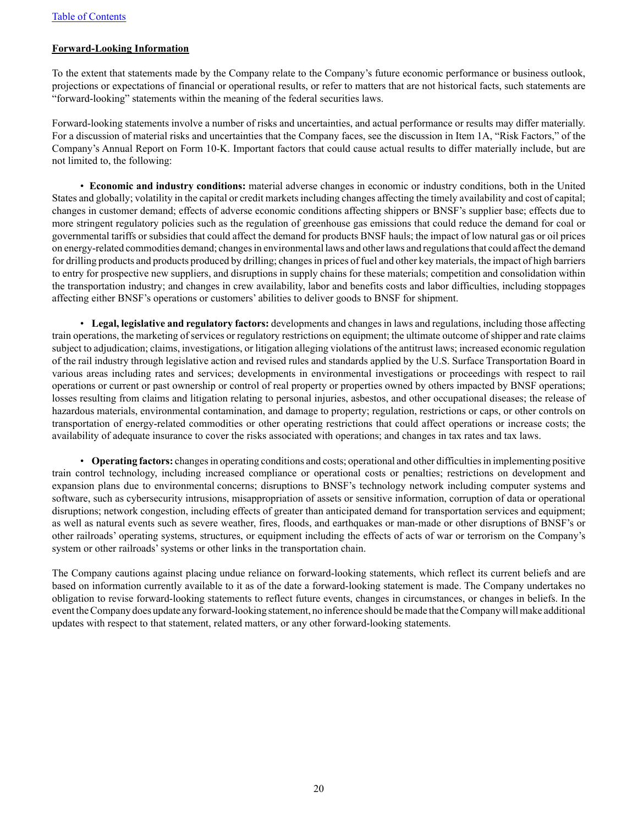#### **Forward-Looking Information**

To the extent that statements made by the Company relate to the Company's future economic performance or business outlook, projections or expectations of financial or operational results, or refer to matters that are not historical facts, such statements are "forward-looking" statements within the meaning of the federal securities laws.

Forward-looking statements involve a number of risks and uncertainties, and actual performance or results may differ materially. For a discussion of material risks and uncertainties that the Company faces, see the discussion in Item 1A, "Risk Factors," of the Company's Annual Report on Form 10-K. Important factors that could cause actual results to differ materially include, but are not limited to, the following:

• **Economic and industry conditions:** material adverse changes in economic or industry conditions, both in the United States and globally; volatility in the capital or credit markets including changes affecting the timely availability and cost of capital; changes in customer demand; effects of adverse economic conditions affecting shippers or BNSF's supplier base; effects due to more stringent regulatory policies such as the regulation of greenhouse gas emissions that could reduce the demand for coal or governmental tariffs or subsidies that could affect the demand for products BNSF hauls; the impact of low natural gas or oil prices on energy-related commodities demand; changes in environmental laws and other laws and regulations that could affect the demand for drilling products and products produced by drilling; changes in prices of fuel and other key materials, the impact of high barriers to entry for prospective new suppliers, and disruptions in supply chains for these materials; competition and consolidation within the transportation industry; and changes in crew availability, labor and benefits costs and labor difficulties, including stoppages affecting either BNSF's operations or customers' abilities to deliver goods to BNSF for shipment.

• **Legal, legislative and regulatory factors:** developments and changes in laws and regulations, including those affecting train operations, the marketing of services or regulatory restrictions on equipment; the ultimate outcome of shipper and rate claims subject to adjudication; claims, investigations, or litigation alleging violations of the antitrust laws; increased economic regulation of the rail industry through legislative action and revised rules and standards applied by the U.S. Surface Transportation Board in various areas including rates and services; developments in environmental investigations or proceedings with respect to rail operations or current or past ownership or control of real property or properties owned by others impacted by BNSF operations; losses resulting from claims and litigation relating to personal injuries, asbestos, and other occupational diseases; the release of hazardous materials, environmental contamination, and damage to property; regulation, restrictions or caps, or other controls on transportation of energy-related commodities or other operating restrictions that could affect operations or increase costs; the availability of adequate insurance to cover the risks associated with operations; and changes in tax rates and tax laws.

• **Operating factors:** changes in operating conditions and costs; operational and other difficulties in implementing positive train control technology, including increased compliance or operational costs or penalties; restrictions on development and expansion plans due to environmental concerns; disruptions to BNSF's technology network including computer systems and software, such as cybersecurity intrusions, misappropriation of assets or sensitive information, corruption of data or operational disruptions; network congestion, including effects of greater than anticipated demand for transportation services and equipment; as well as natural events such as severe weather, fires, floods, and earthquakes or man-made or other disruptions of BNSF's or other railroads' operating systems, structures, or equipment including the effects of acts of war or terrorism on the Company's system or other railroads'systems or other links in the transportation chain.

The Company cautions against placing undue reliance on forward-looking statements, which reflect its current beliefs and are based on information currently available to it as of the date a forward-looking statement is made. The Company undertakes no obligation to revise forward-looking statements to reflect future events, changes in circumstances, or changes in beliefs. In the event the Company does update any forward-looking statement, no inference should be made that the Company will make additional updates with respect to that statement, related matters, or any other forward-looking statements.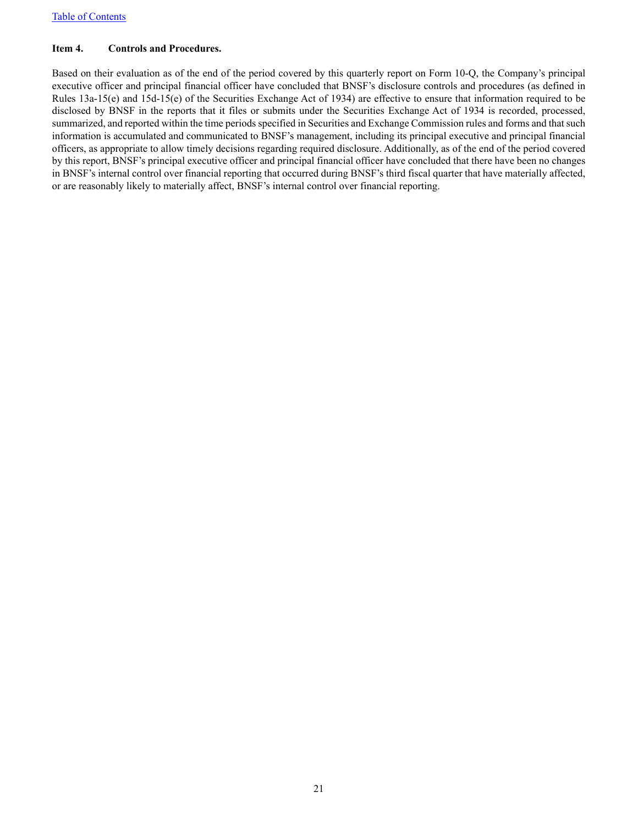#### <span id="page-20-0"></span>**Item 4. Controls and Procedures.**

Based on their evaluation as of the end of the period covered by this quarterly report on Form 10-Q, the Company's principal executive officer and principal financial officer have concluded that BNSF's disclosure controls and procedures (as defined in Rules 13a-15(e) and 15d-15(e) of the Securities Exchange Act of 1934) are effective to ensure that information required to be disclosed by BNSF in the reports that it files or submits under the Securities Exchange Act of 1934 is recorded, processed, summarized, and reported within the time periods specified in Securities and Exchange Commission rules and forms and that such information is accumulated and communicated to BNSF's management, including its principal executive and principal financial officers, as appropriate to allow timely decisions regarding required disclosure. Additionally, as of the end of the period covered by this report, BNSF's principal executive officer and principal financial officer have concluded that there have been no changes in BNSF's internal control over financial reporting that occurred during BNSF's third fiscal quarter that have materially affected, or are reasonably likely to materially affect, BNSF's internal control over financial reporting.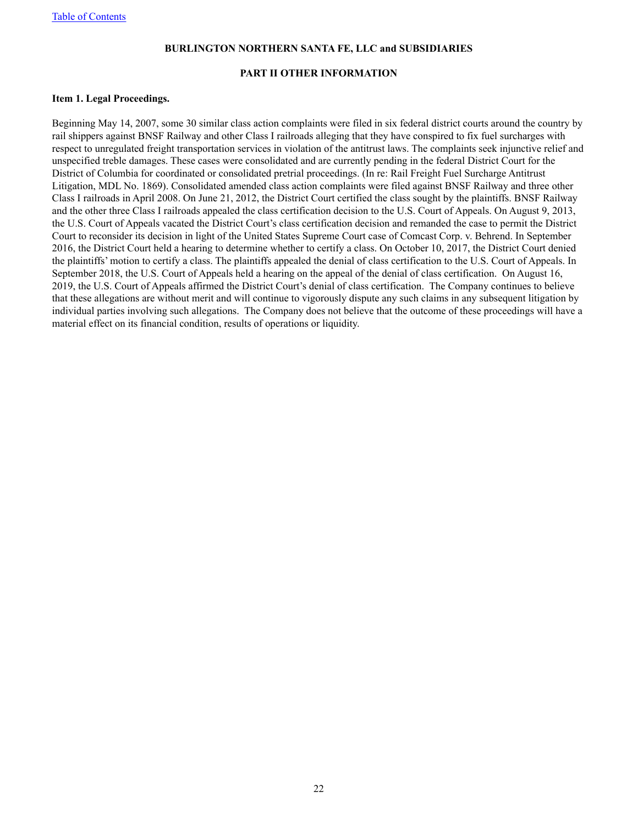#### **PART II OTHER INFORMATION**

#### <span id="page-21-0"></span>**Item 1. Legal Proceedings.**

Beginning May 14, 2007, some 30 similar class action complaints were filed in six federal district courts around the country by rail shippers against BNSF Railway and other Class I railroads alleging that they have conspired to fix fuel surcharges with respect to unregulated freight transportation services in violation of the antitrust laws. The complaints seek injunctive relief and unspecified treble damages. These cases were consolidated and are currently pending in the federal District Court for the District of Columbia for coordinated or consolidated pretrial proceedings. (In re: Rail Freight Fuel Surcharge Antitrust Litigation, MDL No. 1869). Consolidated amended class action complaints were filed against BNSF Railway and three other Class I railroads in April 2008. On June 21, 2012, the District Court certified the class sought by the plaintiffs. BNSF Railway and the other three Class I railroads appealed the class certification decision to the U.S. Court of Appeals. On August 9, 2013, the U.S. Court of Appeals vacated the District Court's class certification decision and remanded the case to permit the District Court to reconsider its decision in light of the United States Supreme Court case of Comcast Corp. v. Behrend. In September 2016, the District Court held a hearing to determine whether to certify a class. On October 10, 2017, the District Court denied the plaintiffs' motion to certify a class. The plaintiffs appealed the denial of class certification to the U.S. Court of Appeals. In September 2018, the U.S. Court of Appeals held a hearing on the appeal of the denial of class certification. On August 16, 2019, the U.S. Court of Appeals affirmed the District Court's denial of class certification. The Company continues to believe that these allegations are without merit and will continue to vigorously dispute any such claims in any subsequent litigation by individual parties involving such allegations. The Company does not believe that the outcome of these proceedings will have a material effect on its financial condition, results of operations or liquidity.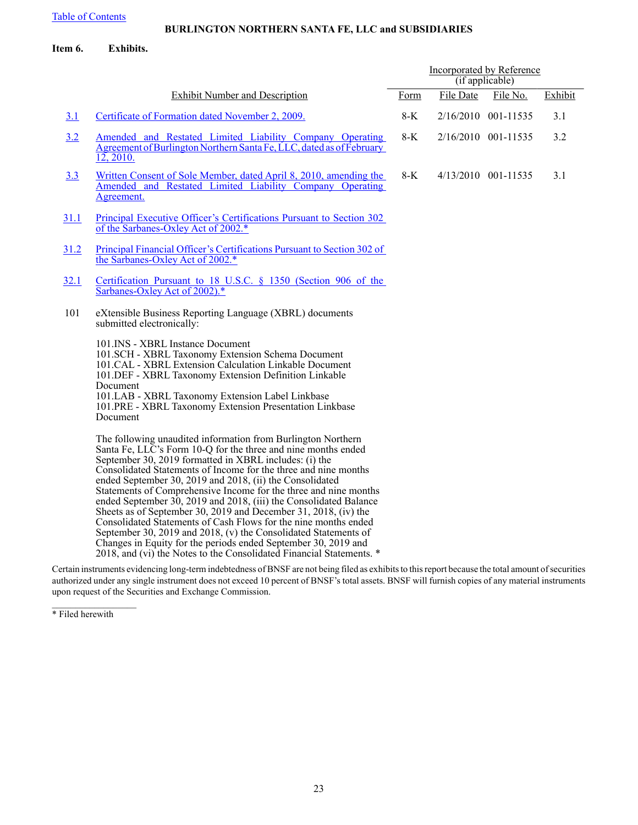#### <span id="page-22-0"></span>[Table of Contents](#page-1-0)

#### **BURLINGTON NORTHERN SANTA FE, LLC and SUBSIDIARIES**

**Item 6. Exhibits.**

|      |                                                                                                                                                                                                                                                                                                                                                                                                                                                                                                                                                                                                                                                                                                                                                                                                                    | Incorporated by Reference<br>(if applicable) |  |                     |         |
|------|--------------------------------------------------------------------------------------------------------------------------------------------------------------------------------------------------------------------------------------------------------------------------------------------------------------------------------------------------------------------------------------------------------------------------------------------------------------------------------------------------------------------------------------------------------------------------------------------------------------------------------------------------------------------------------------------------------------------------------------------------------------------------------------------------------------------|----------------------------------------------|--|---------------------|---------|
|      | <b>Exhibit Number and Description</b>                                                                                                                                                                                                                                                                                                                                                                                                                                                                                                                                                                                                                                                                                                                                                                              | File Date<br>File No.                        |  |                     | Exhibit |
|      |                                                                                                                                                                                                                                                                                                                                                                                                                                                                                                                                                                                                                                                                                                                                                                                                                    | Form                                         |  |                     |         |
| 3.1  | Certificate of Formation dated November 2, 2009.                                                                                                                                                                                                                                                                                                                                                                                                                                                                                                                                                                                                                                                                                                                                                                   | $8-K$                                        |  | 2/16/2010 001-11535 | 3.1     |
| 3.2  | Amended and Restated Limited Liability Company Operating<br>Agreement of Burlington Northern Santa Fe, LLC, dated as of February<br>12, 2010.                                                                                                                                                                                                                                                                                                                                                                                                                                                                                                                                                                                                                                                                      | $8-K$                                        |  | 2/16/2010 001-11535 | 3.2     |
| 3.3  | Written Consent of Sole Member, dated April 8, 2010, amending the<br>Amended and Restated Limited Liability Company Operating<br>Agreement.                                                                                                                                                                                                                                                                                                                                                                                                                                                                                                                                                                                                                                                                        | $8-K$                                        |  | 4/13/2010 001-11535 | 3.1     |
| 31.1 | Principal Executive Officer's Certifications Pursuant to Section 302<br>of the Sarbanes-Oxley Act of 2002.*                                                                                                                                                                                                                                                                                                                                                                                                                                                                                                                                                                                                                                                                                                        |                                              |  |                     |         |
| 31.2 | Principal Financial Officer's Certifications Pursuant to Section 302 of<br>the Sarbanes-Oxley Act of 2002.*                                                                                                                                                                                                                                                                                                                                                                                                                                                                                                                                                                                                                                                                                                        |                                              |  |                     |         |
| 32.1 | Certification Pursuant to 18 U.S.C. § 1350 (Section 906 of the<br>Sarbanes-Oxley Act of 2002).*                                                                                                                                                                                                                                                                                                                                                                                                                                                                                                                                                                                                                                                                                                                    |                                              |  |                     |         |
| 101  | eXtensible Business Reporting Language (XBRL) documents<br>submitted electronically:                                                                                                                                                                                                                                                                                                                                                                                                                                                                                                                                                                                                                                                                                                                               |                                              |  |                     |         |
|      | 101. INS - XBRL Instance Document<br>101.SCH - XBRL Taxonomy Extension Schema Document<br>101.CAL - XBRL Extension Calculation Linkable Document<br>101.DEF - XBRL Taxonomy Extension Definition Linkable<br>Document<br>101.LAB - XBRL Taxonomy Extension Label Linkbase<br>101.PRE - XBRL Taxonomy Extension Presentation Linkbase<br>Document                                                                                                                                                                                                                                                                                                                                                                                                                                                                   |                                              |  |                     |         |
|      | The following unaudited information from Burlington Northern<br>Santa Fe, LLC's Form 10-Q for the three and nine months ended<br>September 30, 2019 formatted in XBRL includes: (i) the<br>Consolidated Statements of Income for the three and nine months<br>ended September 30, 2019 and 2018, (ii) the Consolidated<br>Statements of Comprehensive Income for the three and nine months<br>ended September 30, 2019 and 2018, (iii) the Consolidated Balance<br>Sheets as of September 30, 2019 and December 31, 2018, (iv) the<br>Consolidated Statements of Cash Flows for the nine months ended<br>September 30, 2019 and 2018, (v) the Consolidated Statements of<br>Changes in Equity for the periods ended September 30, 2019 and<br>2018, and (vi) the Notes to the Consolidated Financial Statements. * |                                              |  |                     |         |

Certain instruments evidencing long-term indebtedness of BNSF are not being filed as exhibits to this report because the total amount of securities authorized under any single instrument does not exceed 10 percent of BNSF's total assets. BNSF will furnish copies of any material instruments upon request of the Securities and Exchange Commission.

\* Filed herewith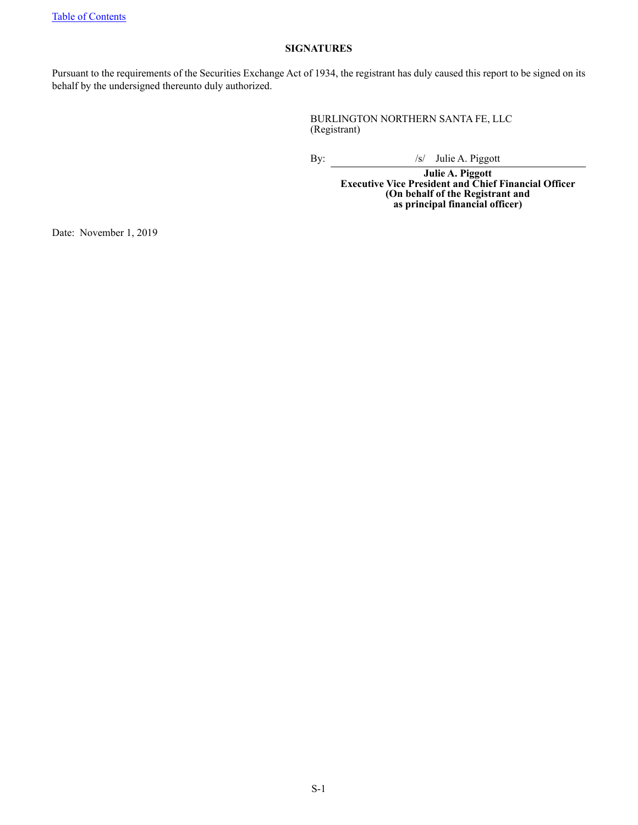#### **SIGNATURES**

<span id="page-23-0"></span>Pursuant to the requirements of the Securities Exchange Act of 1934, the registrant has duly caused this report to be signed on its behalf by the undersigned thereunto duly authorized.

> BURLINGTON NORTHERN SANTA FE, LLC (Registrant)

By:  $\frac{1}{s}$  Julie A. Piggott

**Julie A. Piggott Executive Vice President and Chief Financial Officer (On behalf of the Registrant and as principal financial officer)**

Date: November 1, 2019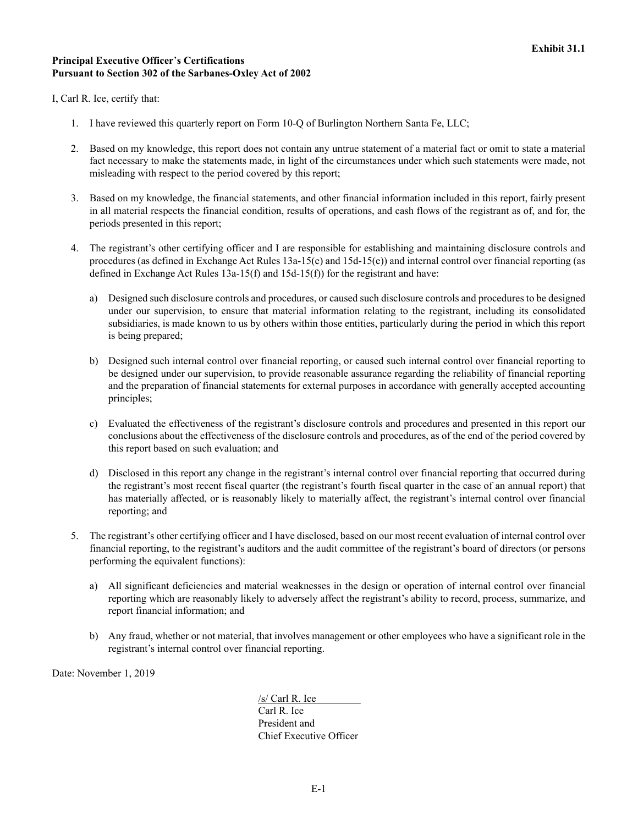#### **Principal Executive Officer**'**s Certifications Pursuant to Section 302 of the Sarbanes-Oxley Act of 2002**

I, Carl R. Ice, certify that:

- 1. I have reviewed this quarterly report on Form 10-Q of Burlington Northern Santa Fe, LLC;
- 2. Based on my knowledge, this report does not contain any untrue statement of a material fact or omit to state a material fact necessary to make the statements made, in light of the circumstances under which such statements were made, not misleading with respect to the period covered by this report;
- 3. Based on my knowledge, the financial statements, and other financial information included in this report, fairly present in all material respects the financial condition, results of operations, and cash flows of the registrant as of, and for, the periods presented in this report;
- 4. The registrant's other certifying officer and I are responsible for establishing and maintaining disclosure controls and procedures (as defined in Exchange Act Rules 13a-15(e) and 15d-15(e)) and internal control over financial reporting (as defined in Exchange Act Rules 13a-15(f) and 15d-15(f)) for the registrant and have:
	- a) Designed such disclosure controls and procedures, or caused such disclosure controls and procedures to be designed under our supervision, to ensure that material information relating to the registrant, including its consolidated subsidiaries, is made known to us by others within those entities, particularly during the period in which this report is being prepared;
	- b) Designed such internal control over financial reporting, or caused such internal control over financial reporting to be designed under our supervision, to provide reasonable assurance regarding the reliability of financial reporting and the preparation of financial statements for external purposes in accordance with generally accepted accounting principles;
	- c) Evaluated the effectiveness of the registrant's disclosure controls and procedures and presented in this report our conclusions about the effectiveness of the disclosure controls and procedures, as of the end of the period covered by this report based on such evaluation; and
	- d) Disclosed in this report any change in the registrant's internal control over financial reporting that occurred during the registrant's most recent fiscal quarter (the registrant's fourth fiscal quarter in the case of an annual report) that has materially affected, or is reasonably likely to materially affect, the registrant's internal control over financial reporting; and
- 5. The registrant's other certifying officer and I have disclosed, based on our most recent evaluation of internal control over financial reporting, to the registrant's auditors and the audit committee of the registrant's board of directors (or persons performing the equivalent functions):
	- a) All significant deficiencies and material weaknesses in the design or operation of internal control over financial reporting which are reasonably likely to adversely affect the registrant's ability to record, process, summarize, and report financial information; and
	- b) Any fraud, whether or not material, that involves management or other employees who have a significant role in the registrant's internal control over financial reporting.

Date: November 1, 2019

/s/ Carl R. Ice Carl R. Ice President and Chief Executive Officer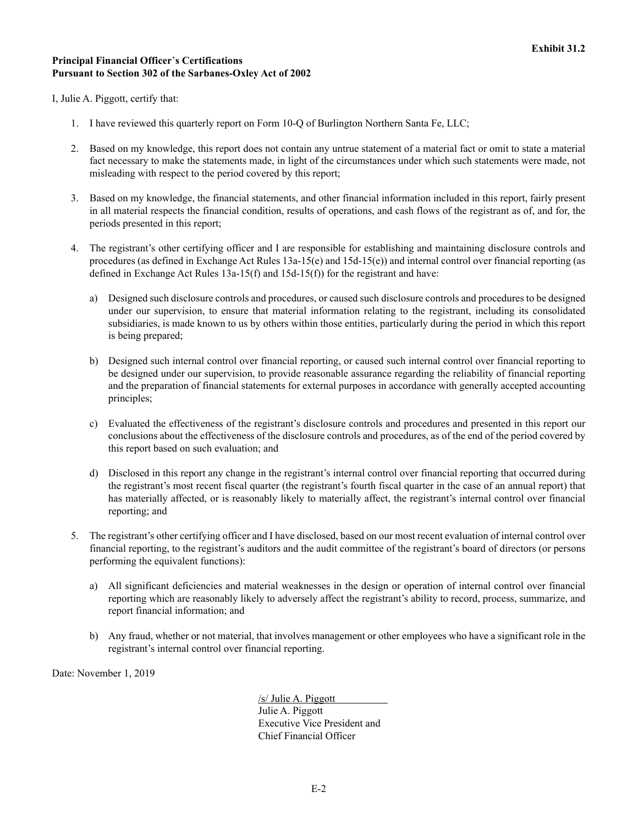#### **Principal Financial Officer**'**s Certifications Pursuant to Section 302 of the Sarbanes-Oxley Act of 2002**

I, Julie A. Piggott, certify that:

- 1. I have reviewed this quarterly report on Form 10-Q of Burlington Northern Santa Fe, LLC;
- 2. Based on my knowledge, this report does not contain any untrue statement of a material fact or omit to state a material fact necessary to make the statements made, in light of the circumstances under which such statements were made, not misleading with respect to the period covered by this report;
- 3. Based on my knowledge, the financial statements, and other financial information included in this report, fairly present in all material respects the financial condition, results of operations, and cash flows of the registrant as of, and for, the periods presented in this report;
- 4. The registrant's other certifying officer and I are responsible for establishing and maintaining disclosure controls and procedures (as defined in Exchange Act Rules 13a-15(e) and 15d-15(e)) and internal control over financial reporting (as defined in Exchange Act Rules 13a-15(f) and 15d-15(f)) for the registrant and have:
	- a) Designed such disclosure controls and procedures, or caused such disclosure controls and procedures to be designed under our supervision, to ensure that material information relating to the registrant, including its consolidated subsidiaries, is made known to us by others within those entities, particularly during the period in which this report is being prepared;
	- b) Designed such internal control over financial reporting, or caused such internal control over financial reporting to be designed under our supervision, to provide reasonable assurance regarding the reliability of financial reporting and the preparation of financial statements for external purposes in accordance with generally accepted accounting principles;
	- c) Evaluated the effectiveness of the registrant's disclosure controls and procedures and presented in this report our conclusions about the effectiveness of the disclosure controls and procedures, as of the end of the period covered by this report based on such evaluation; and
	- d) Disclosed in this report any change in the registrant's internal control over financial reporting that occurred during the registrant's most recent fiscal quarter (the registrant's fourth fiscal quarter in the case of an annual report) that has materially affected, or is reasonably likely to materially affect, the registrant's internal control over financial reporting; and
- 5. The registrant's other certifying officer and I have disclosed, based on our most recent evaluation of internal control over financial reporting, to the registrant's auditors and the audit committee of the registrant's board of directors (or persons performing the equivalent functions):
	- a) All significant deficiencies and material weaknesses in the design or operation of internal control over financial reporting which are reasonably likely to adversely affect the registrant's ability to record, process, summarize, and report financial information; and
	- b) Any fraud, whether or not material, that involves management or other employees who have a significant role in the registrant's internal control over financial reporting.

Date: November 1, 2019

/s/ Julie A. Piggott Julie A. Piggott Executive Vice President and Chief Financial Officer